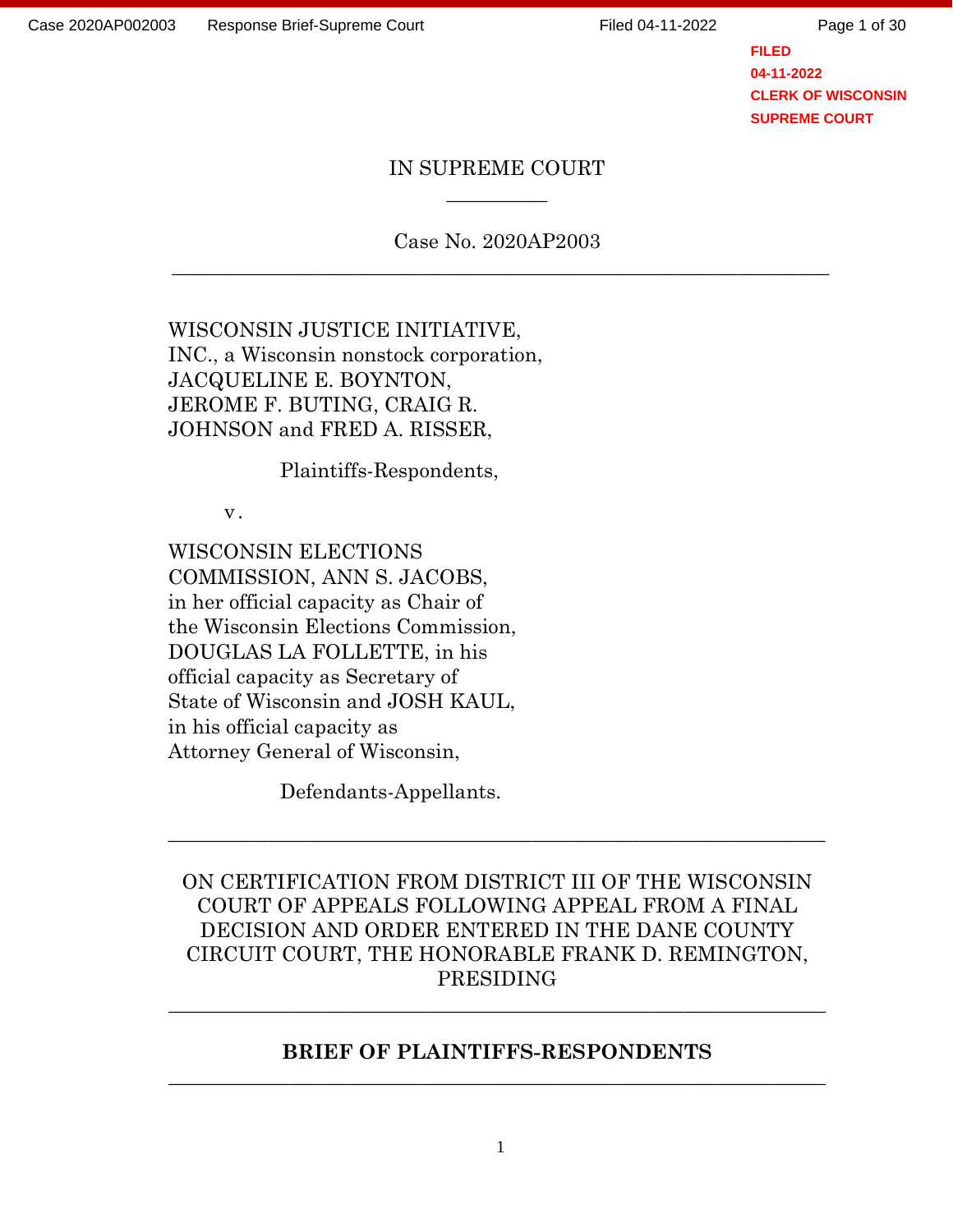Page 1 of 30

**FILED 04-11-2022 CLERK OF WISCONSIN SUPREME COURT**

#### IN SUPREME COURT  $\overline{\phantom{a}}$

Case No. 2020AP2003 \_\_\_\_\_\_\_\_\_\_\_\_\_\_\_\_\_\_\_\_\_\_\_\_\_\_\_\_\_\_\_\_\_\_\_\_\_\_\_\_\_\_\_\_\_\_\_\_\_\_\_\_\_\_\_\_\_\_\_\_\_\_\_\_\_

WISCONSIN JUSTICE INITIATIVE, INC., a Wisconsin nonstock corporation, JACQUELINE E. BOYNTON, JEROME F. BUTING, CRAIG R. JOHNSON and FRED A. RISSER,

Plaintiffs-Respondents,

v.

WISCONSIN ELECTIONS COMMISSION, ANN S. JACOBS, in her official capacity as Chair of the Wisconsin Elections Commission, DOUGLAS LA FOLLETTE, in his official capacity as Secretary of State of Wisconsin and JOSH KAUL, in his official capacity as Attorney General of Wisconsin,

Defendants-Appellants.

ON CERTIFICATION FROM DISTRICT III OF THE WISCONSIN COURT OF APPEALS FOLLOWING APPEAL FROM A FINAL DECISION AND ORDER ENTERED IN THE DANE COUNTY CIRCUIT COURT, THE HONORABLE FRANK D. REMINGTON, PRESIDING

 $\_$  , and the set of the set of the set of the set of the set of the set of the set of the set of the set of the set of the set of the set of the set of the set of the set of the set of the set of the set of the set of th

#### **BRIEF OF PLAINTIFFS-RESPONDENTS \_\_\_\_\_\_\_\_\_\_\_\_\_\_\_\_\_\_\_\_\_\_\_\_\_\_\_\_\_\_\_\_\_\_\_\_\_\_\_\_\_\_\_\_\_\_\_\_\_\_\_\_\_\_\_\_\_\_\_\_\_\_\_\_\_**

 $\_$  , and the contribution of the contribution of  $\mathcal{L}_1$  , and the contribution of  $\mathcal{L}_2$  , and the contribution of  $\mathcal{L}_1$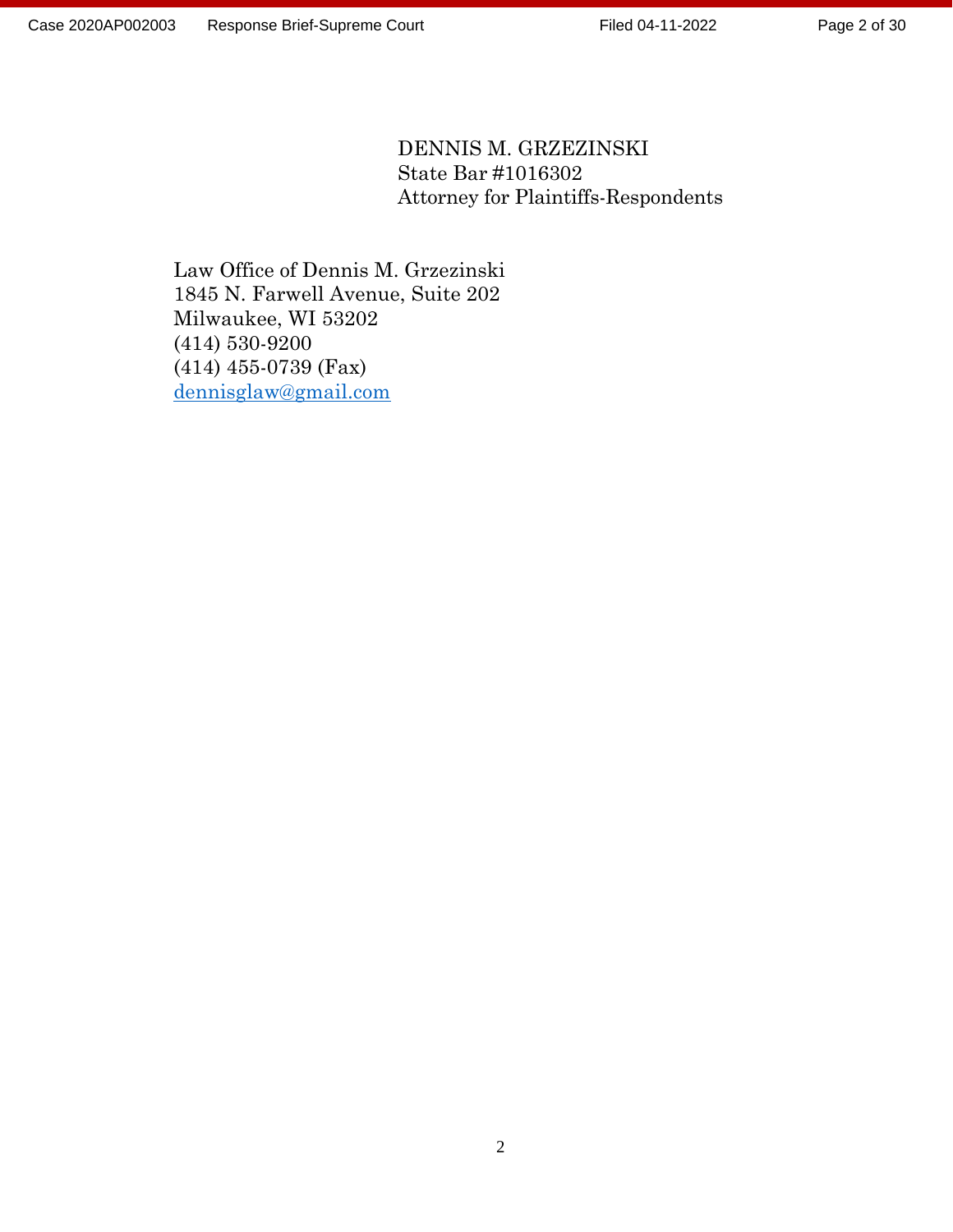Page 2 of 30

### DENNIS M. GRZEZINSKI State Bar #1016302 Attorney for Plaintiffs-Respondents

Law Office of Dennis M. Grzezinski 1845 N. Farwell Avenue, Suite 202 Milwaukee, WI 53202 (414) 530-9200 (414) 455-0739 (Fax) [dennisglaw@gmail.com](mailto:dennisglaw@gmail.com)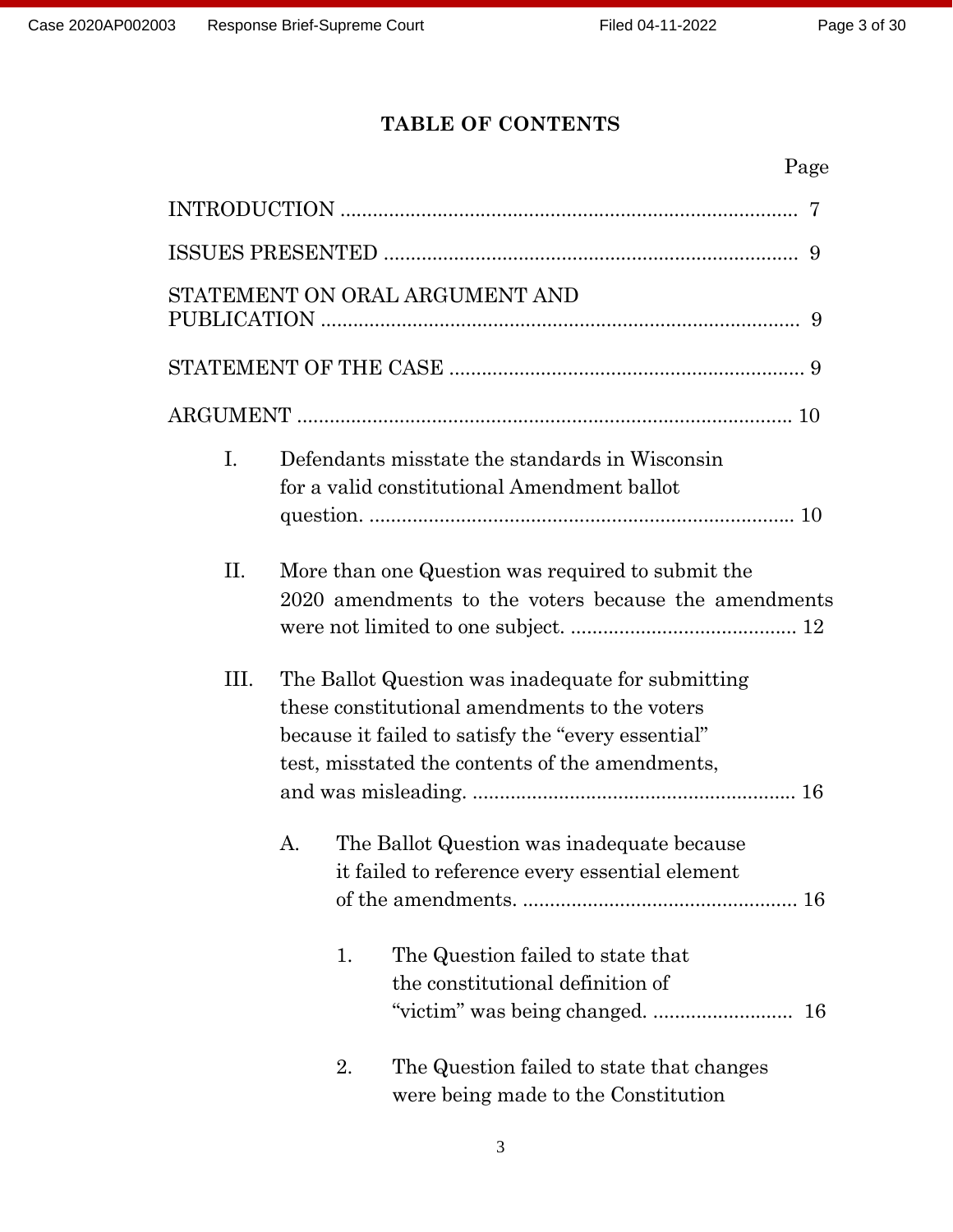## **TABLE OF CONTENTS**

|                |          | 7                                                                                                                                                                                                                                                         |
|----------------|----------|-----------------------------------------------------------------------------------------------------------------------------------------------------------------------------------------------------------------------------------------------------------|
|                |          |                                                                                                                                                                                                                                                           |
|                |          | STATEMENT ON ORAL ARGUMENT AND<br>9                                                                                                                                                                                                                       |
|                |          |                                                                                                                                                                                                                                                           |
|                |          |                                                                                                                                                                                                                                                           |
| $\mathbf{I}$ . |          | Defendants misstate the standards in Wisconsin<br>for a valid constitutional Amendment ballot                                                                                                                                                             |
| П.             |          | More than one Question was required to submit the<br>2020 amendments to the voters because the amendments                                                                                                                                                 |
| III.           | А.       | The Ballot Question was inadequate for submitting<br>these constitutional amendments to the voters<br>because it failed to satisfy the "every essential"<br>test, misstated the contents of the amendments,<br>The Ballot Question was inadequate because |
|                | 1.<br>2. | it failed to reference every essential element<br>The Question failed to state that<br>the constitutional definition of<br>16<br>The Question failed to state that changes                                                                                |
|                |          | were being made to the Constitution                                                                                                                                                                                                                       |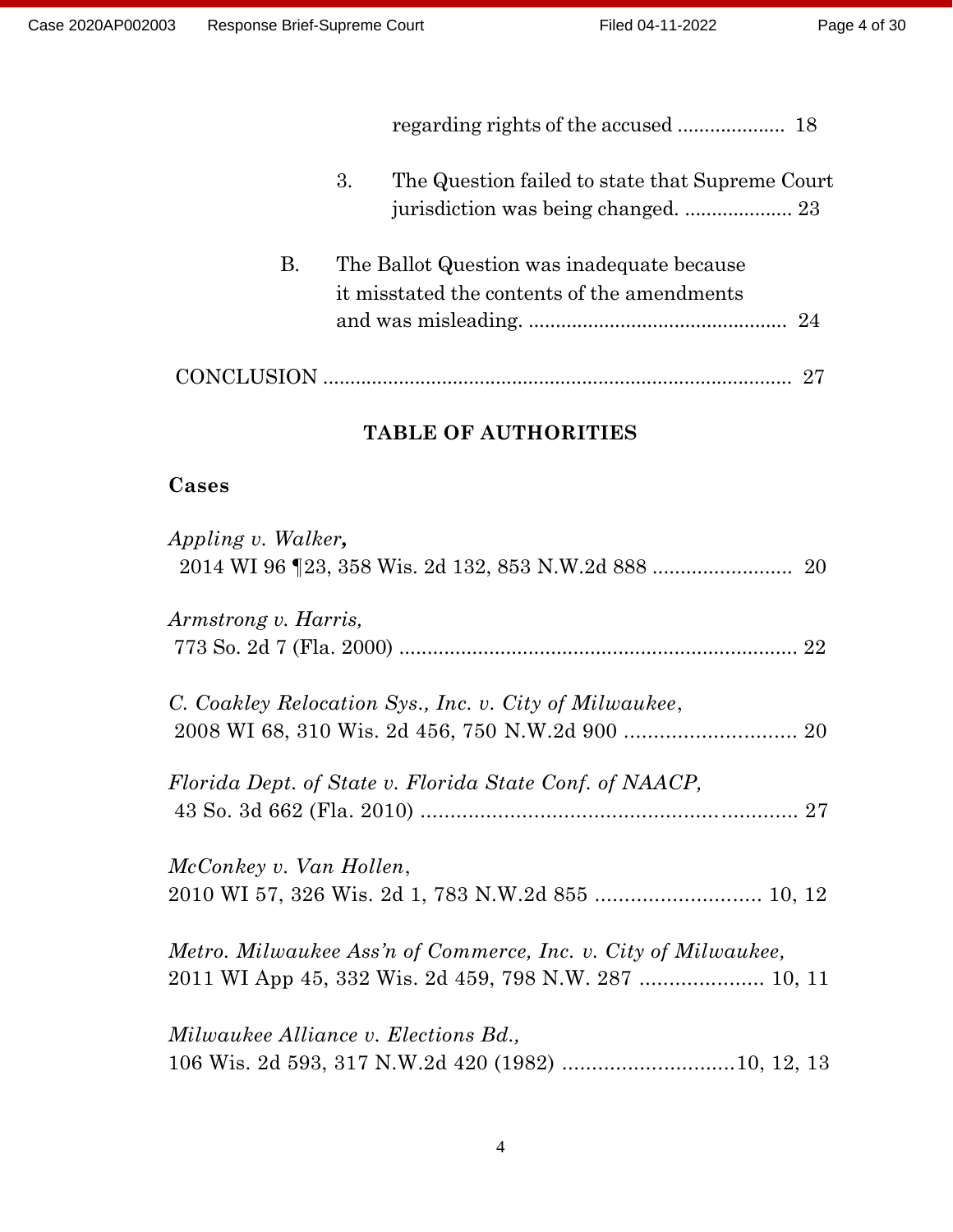|           | 3. | The Question failed to state that Supreme Court                                           |
|-----------|----|-------------------------------------------------------------------------------------------|
| <b>B.</b> |    | The Ballot Question was inadequate because<br>it misstated the contents of the amendments |
|           |    |                                                                                           |

## **TABLE OF AUTHORITIES**

## **Cases**

| Appling v. Walker,                                             |  |
|----------------------------------------------------------------|--|
|                                                                |  |
| Armstrong v. Harris,                                           |  |
|                                                                |  |
| C. Coakley Relocation Sys., Inc. v. City of Milwaukee,         |  |
|                                                                |  |
| Florida Dept. of State v. Florida State Conf. of NAACP,        |  |
|                                                                |  |
| McConkey v. Van Hollen,                                        |  |
| 2010 WI 57, 326 Wis. 2d 1, 783 N.W.2d 855  10, 12              |  |
| Metro. Milwaukee Ass'n of Commerce, Inc. v. City of Milwaukee, |  |
| 2011 WI App 45, 332 Wis. 2d 459, 798 N.W. 287  10, 11          |  |
| Milwaukee Alliance v. Elections Bd.,                           |  |
| 106 Wis. 2d 593, 317 N.W.2d 420 (1982) 10, 12, 13              |  |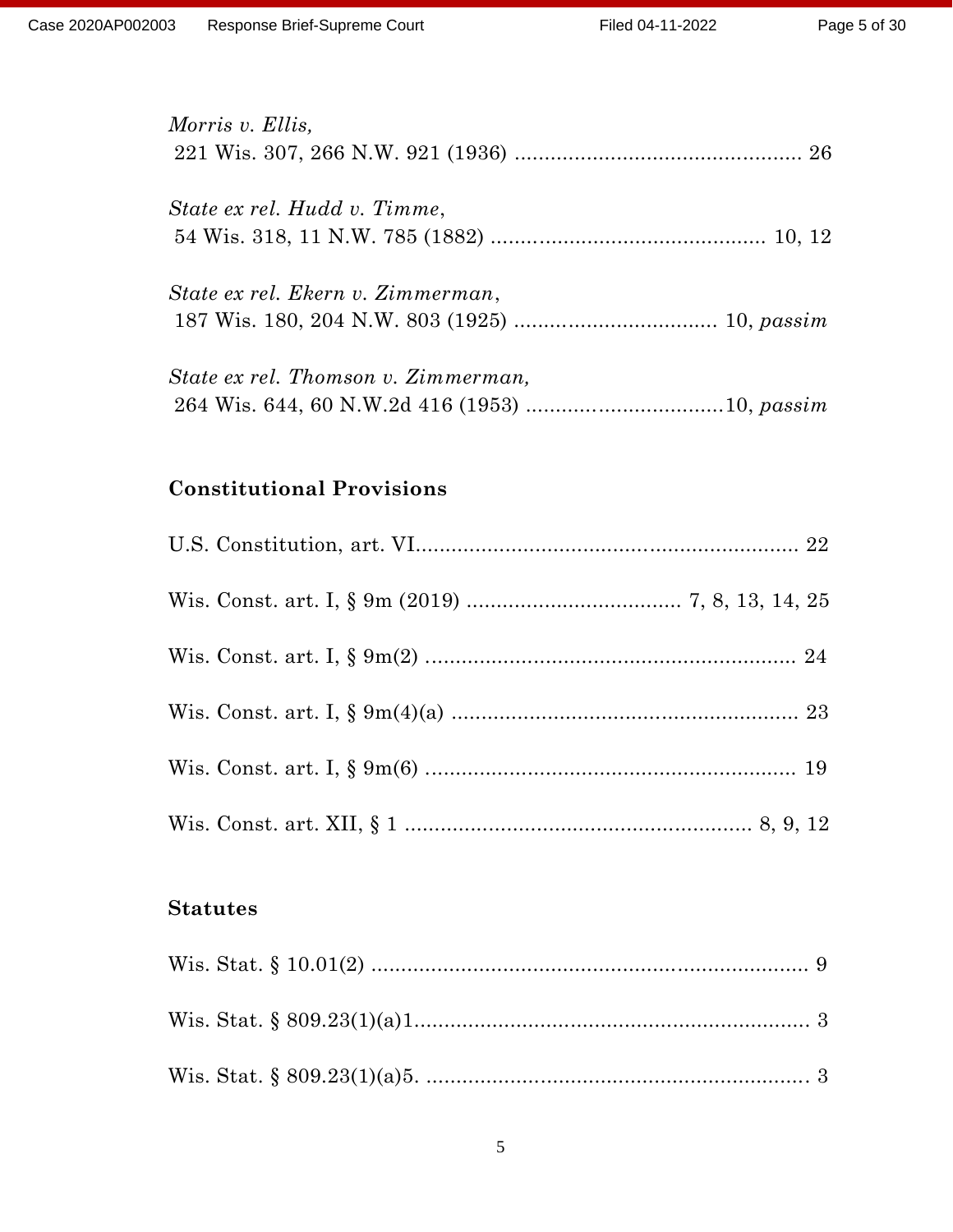| Morris v. Ellis,                    |  |
|-------------------------------------|--|
|                                     |  |
| State ex rel. Hudd v. Timme,        |  |
|                                     |  |
| State ex rel. Ekern v. Zimmerman,   |  |
|                                     |  |
| State ex rel. Thomson v. Zimmerman, |  |
|                                     |  |

# **Constitutional Provisions**

### **Statutes**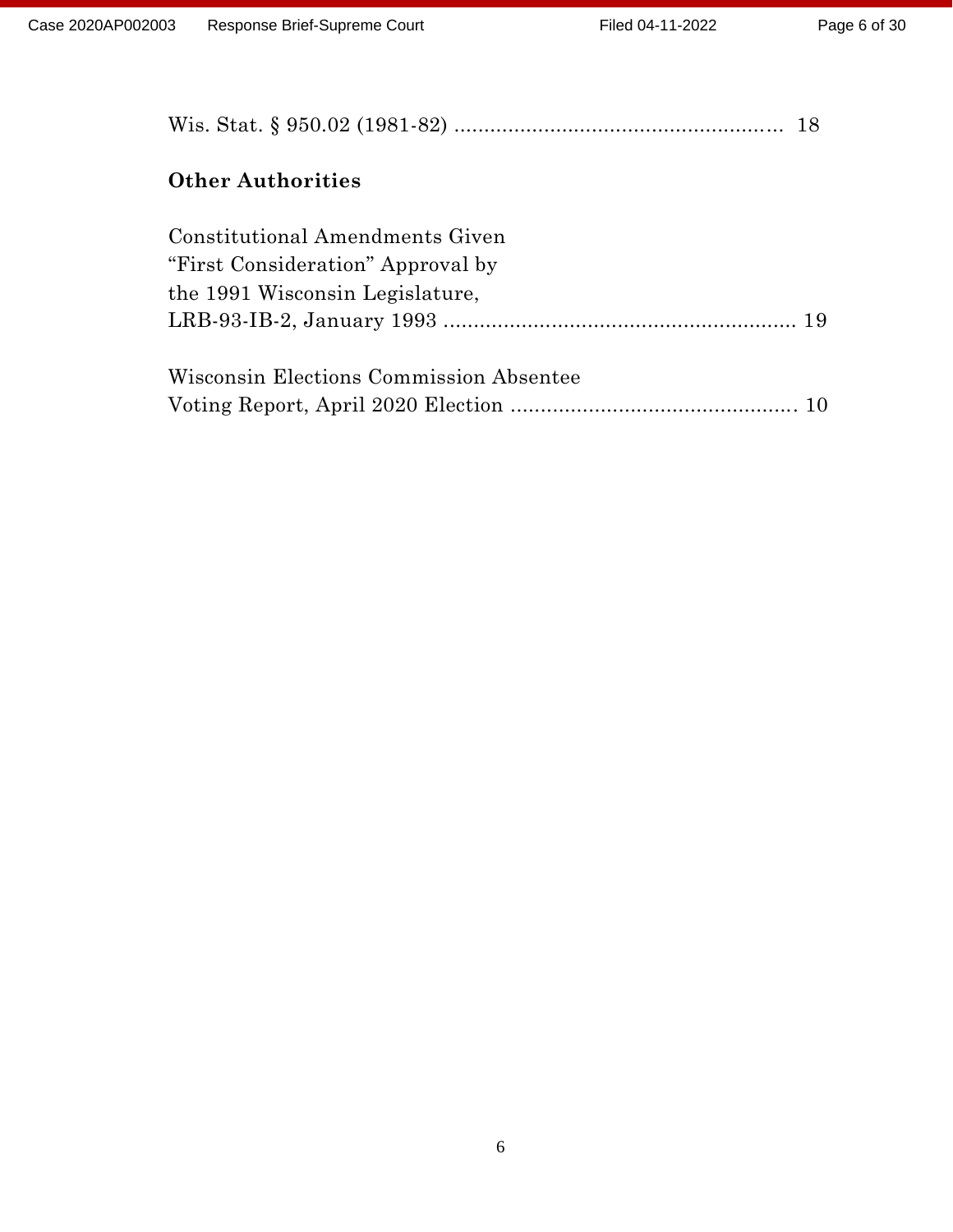| <b>Other Authorities</b>                                                                                |  |
|---------------------------------------------------------------------------------------------------------|--|
| Constitutional Amendments Given<br>"First Consideration" Approval by<br>the 1991 Wisconsin Legislature, |  |
| Wisconsin Elections Commission Absentee                                                                 |  |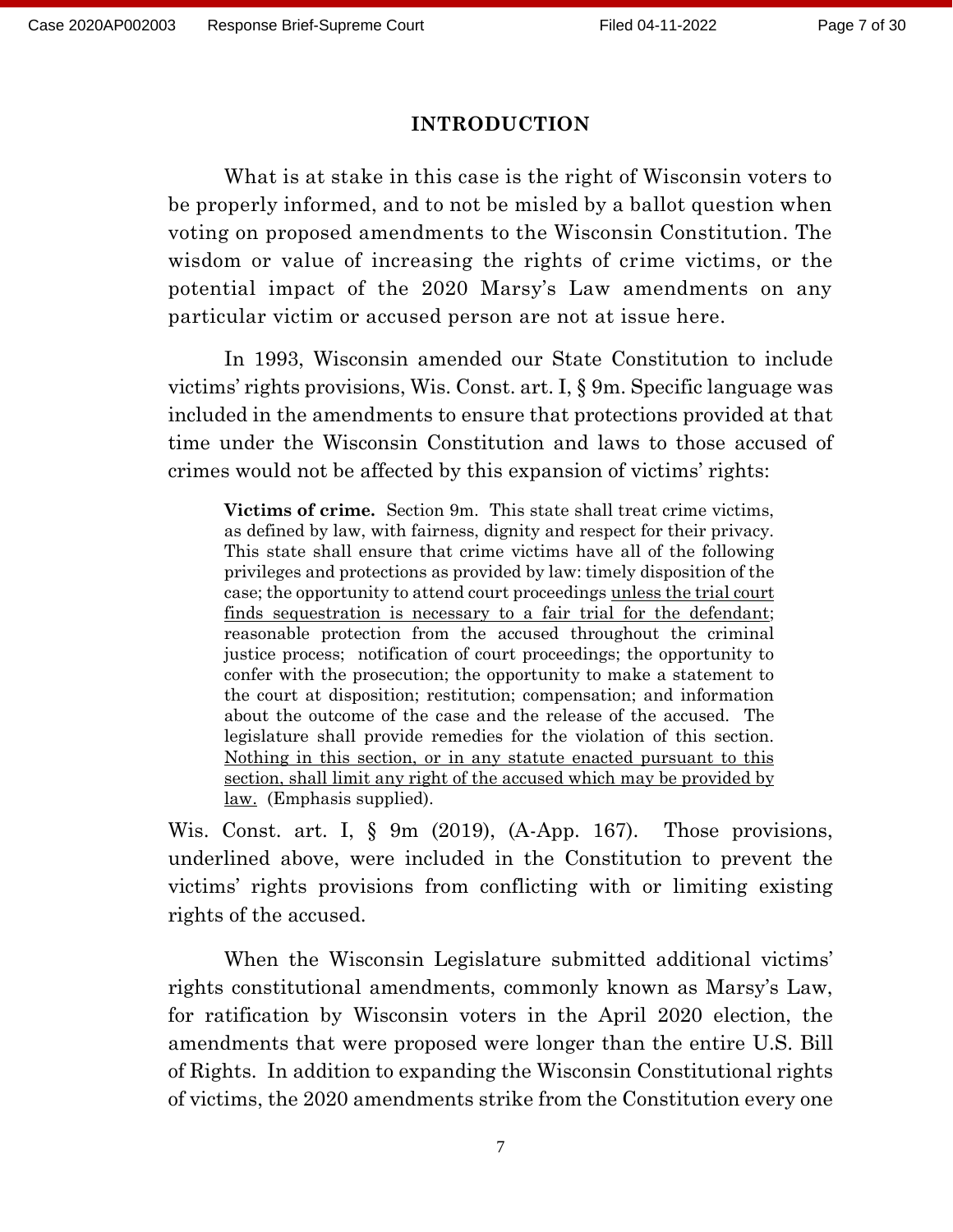#### **INTRODUCTION**

What is at stake in this case is the right of Wisconsin voters to be properly informed, and to not be misled by a ballot question when voting on proposed amendments to the Wisconsin Constitution. The wisdom or value of increasing the rights of crime victims, or the potential impact of the 2020 Marsy's Law amendments on any particular victim or accused person are not at issue here.

In 1993, Wisconsin amended our State Constitution to include victims' rights provisions, Wis. Const. art. I, § 9m. Specific language was included in the amendments to ensure that protections provided at that time under the Wisconsin Constitution and laws to those accused of crimes would not be affected by this expansion of victims' rights:

**Victims of crime.** Section 9m. This state shall treat crime victims, as defined by law, with fairness, dignity and respect for their privacy. This state shall ensure that crime victims have all of the following privileges and protections as provided by law: timely disposition of the case; the opportunity to attend court proceedings unless the trial court finds sequestration is necessary to a fair trial for the defendant; reasonable protection from the accused throughout the criminal justice process; notification of court proceedings; the opportunity to confer with the prosecution; the opportunity to make a statement to the court at disposition; restitution; compensation; and information about the outcome of the case and the release of the accused. The legislature shall provide remedies for the violation of this section. Nothing in this section, or in any statute enacted pursuant to this section, shall limit any right of the accused which may be provided by law.(Emphasis supplied).

Wis. Const. art. I, § 9m (2019), (A-App. 167). Those provisions, underlined above, were included in the Constitution to prevent the victims' rights provisions from conflicting with or limiting existing rights of the accused.

When the Wisconsin Legislature submitted additional victims' rights constitutional amendments, commonly known as Marsy's Law, for ratification by Wisconsin voters in the April 2020 election, the amendments that were proposed were longer than the entire U.S. Bill of Rights. In addition to expanding the Wisconsin Constitutional rights of victims, the 2020 amendments strike from the Constitution every one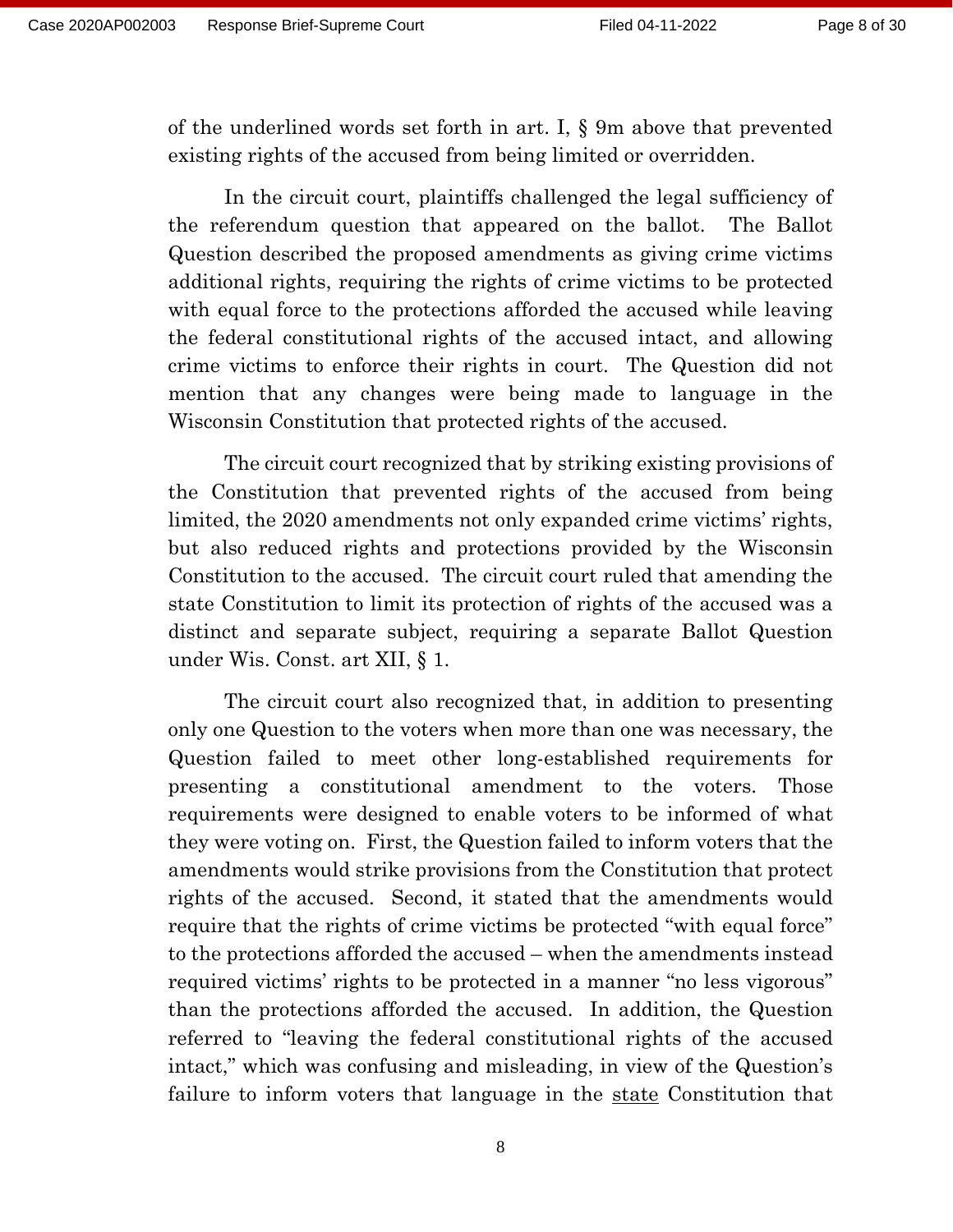of the underlined words set forth in art. I, § 9m above that prevented existing rights of the accused from being limited or overridden.

In the circuit court, plaintiffs challenged the legal sufficiency of the referendum question that appeared on the ballot. The Ballot Question described the proposed amendments as giving crime victims additional rights, requiring the rights of crime victims to be protected with equal force to the protections afforded the accused while leaving the federal constitutional rights of the accused intact, and allowing crime victims to enforce their rights in court. The Question did not mention that any changes were being made to language in the Wisconsin Constitution that protected rights of the accused.

The circuit court recognized that by striking existing provisions of the Constitution that prevented rights of the accused from being limited, the 2020 amendments not only expanded crime victims' rights, but also reduced rights and protections provided by the Wisconsin Constitution to the accused. The circuit court ruled that amending the state Constitution to limit its protection of rights of the accused was a distinct and separate subject, requiring a separate Ballot Question under Wis. Const. art XII, § 1.

The circuit court also recognized that, in addition to presenting only one Question to the voters when more than one was necessary, the Question failed to meet other long-established requirements for presenting a constitutional amendment to the voters. Those requirements were designed to enable voters to be informed of what they were voting on. First, the Question failed to inform voters that the amendments would strike provisions from the Constitution that protect rights of the accused. Second, it stated that the amendments would require that the rights of crime victims be protected "with equal force" to the protections afforded the accused – when the amendments instead required victims' rights to be protected in a manner "no less vigorous" than the protections afforded the accused. In addition, the Question referred to "leaving the federal constitutional rights of the accused intact," which was confusing and misleading, in view of the Question's failure to inform voters that language in the state Constitution that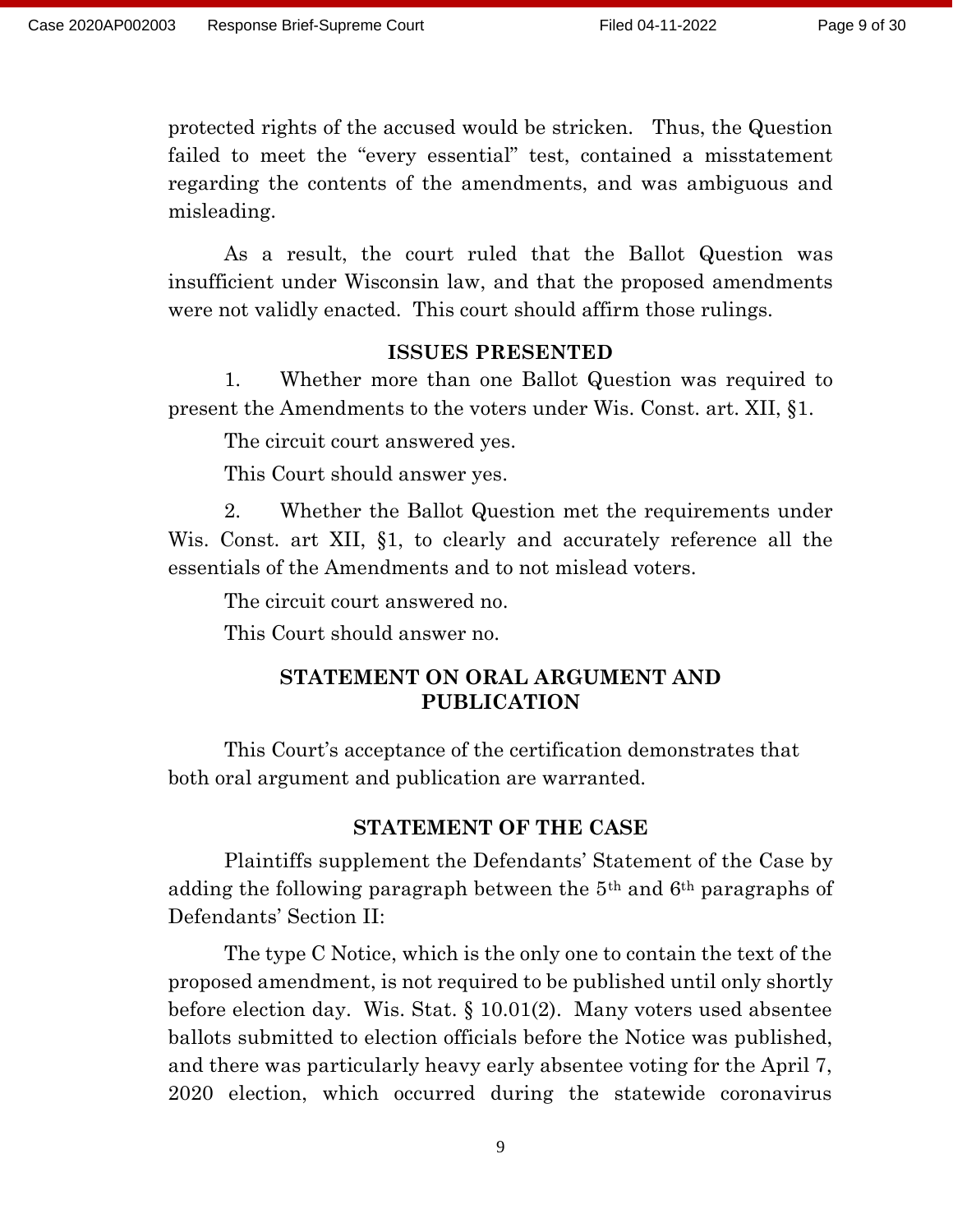protected rights of the accused would be stricken. Thus, the Question failed to meet the "every essential" test, contained a misstatement regarding the contents of the amendments, and was ambiguous and misleading.

As a result, the court ruled that the Ballot Question was insufficient under Wisconsin law, and that the proposed amendments were not validly enacted. This court should affirm those rulings.

### **ISSUES PRESENTED**

1. Whether more than one Ballot Question was required to present the Amendments to the voters under Wis. Const. art. XII, §1.

The circuit court answered yes.

This Court should answer yes.

2. Whether the Ballot Question met the requirements under Wis. Const. art XII, §1, to clearly and accurately reference all the essentials of the Amendments and to not mislead voters.

The circuit court answered no.

This Court should answer no.

### **STATEMENT ON ORAL ARGUMENT AND PUBLICATION**

This Court's acceptance of the certification demonstrates that both oral argument and publication are warranted.

### **STATEMENT OF THE CASE**

Plaintiffs supplement the Defendants' Statement of the Case by adding the following paragraph between the 5th and 6th paragraphs of Defendants' Section II:

The type C Notice, which is the only one to contain the text of the proposed amendment, is not required to be published until only shortly before election day. Wis. Stat. § 10.01(2). Many voters used absentee ballots submitted to election officials before the Notice was published, and there was particularly heavy early absentee voting for the April 7, 2020 election, which occurred during the statewide coronavirus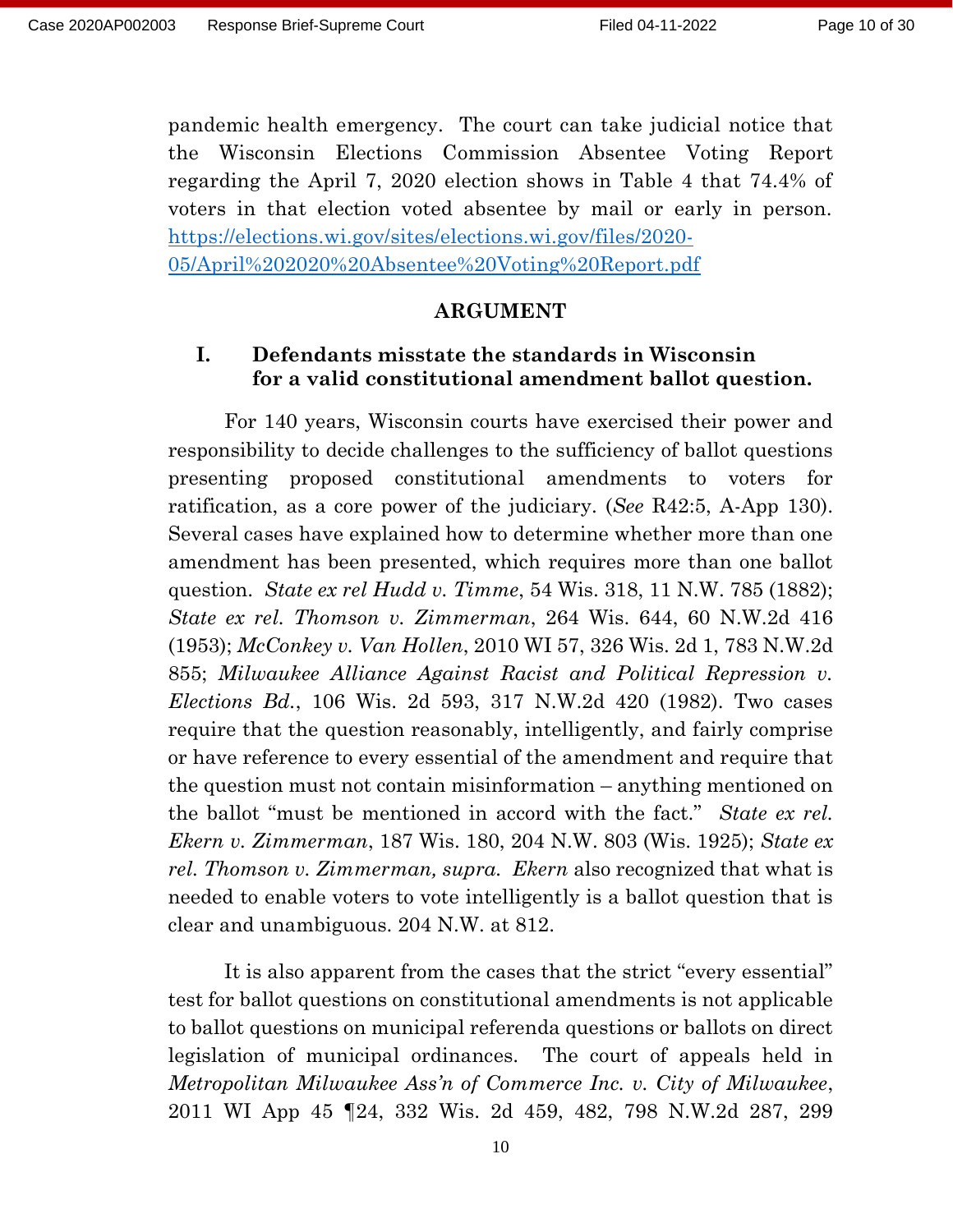pandemic health emergency. The court can take judicial notice that the Wisconsin Elections Commission Absentee Voting Report regarding the April 7, 2020 election shows in Table 4 that 74.4% of voters in that election voted absentee by mail or early in person. [https://elections.wi.gov/sites/elections.wi.gov/files/2020-](https://elections.wi.gov/sites/elections.wi.gov/files/2020-05/April%202020%20Absentee%20Voting%20Report.pdf) [05/April%202020%20Absentee%20Voting%20Report.pdf](https://elections.wi.gov/sites/elections.wi.gov/files/2020-05/April%202020%20Absentee%20Voting%20Report.pdf)

#### **ARGUMENT**

### **I. Defendants misstate the standards in Wisconsin for a valid constitutional amendment ballot question.**

For 140 years, Wisconsin courts have exercised their power and responsibility to decide challenges to the sufficiency of ballot questions presenting proposed constitutional amendments to voters for ratification, as a core power of the judiciary. (*See* R42:5, A-App 130). Several cases have explained how to determine whether more than one amendment has been presented, which requires more than one ballot question. *State ex rel Hudd v. Timme*, 54 Wis. 318, 11 N.W. 785 (1882); *State ex rel. Thomson v. Zimmerman*, 264 Wis. 644, 60 N.W.2d 416 (1953); *McConkey v. Van Hollen*, 2010 WI 57, 326 Wis. 2d 1, 783 N.W.2d 855; *Milwaukee Alliance Against Racist and Political Repression v. Elections Bd.*, 106 Wis. 2d 593, 317 N.W.2d 420 (1982). Two cases require that the question reasonably, intelligently, and fairly comprise or have reference to every essential of the amendment and require that the question must not contain misinformation – anything mentioned on the ballot "must be mentioned in accord with the fact." *State ex rel. Ekern v. Zimmerman*, 187 Wis. 180, 204 N.W. 803 (Wis. 1925); *State ex rel. Thomson v. Zimmerman, supra. Ekern* also recognized that what is needed to enable voters to vote intelligently is a ballot question that is clear and unambiguous. 204 N.W. at 812.

It is also apparent from the cases that the strict "every essential" test for ballot questions on constitutional amendments is not applicable to ballot questions on municipal referenda questions or ballots on direct legislation of municipal ordinances. The court of appeals held in *Metropolitan Milwaukee Ass'n of Commerce Inc. v. City of Milwaukee*, 2011 WI App 45 ¶24, 332 Wis. 2d 459, 482, 798 N.W.2d 287, 299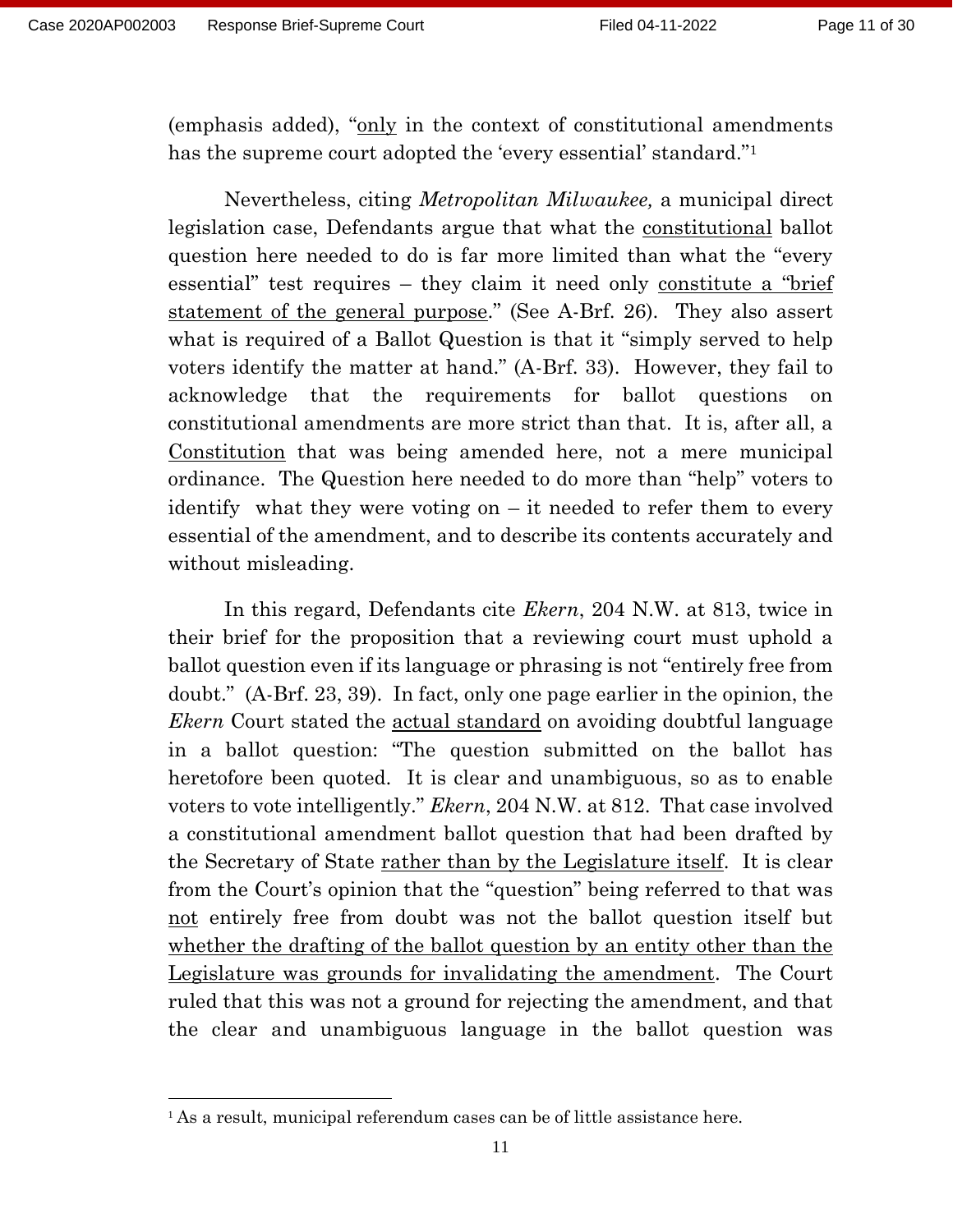(emphasis added), "only in the context of constitutional amendments has the supreme court adopted the 'every essential' standard."<sup>1</sup>

Nevertheless, citing *Metropolitan Milwaukee,* a municipal direct legislation case, Defendants argue that what the constitutional ballot question here needed to do is far more limited than what the "every essential" test requires – they claim it need only constitute a "brief statement of the general purpose." (See A-Brf. 26). They also assert what is required of a Ballot Question is that it "simply served to help voters identify the matter at hand." (A-Brf. 33). However, they fail to acknowledge that the requirements for ballot questions on constitutional amendments are more strict than that. It is, after all, a Constitution that was being amended here, not a mere municipal ordinance. The Question here needed to do more than "help" voters to identify what they were voting on – it needed to refer them to every essential of the amendment, and to describe its contents accurately and without misleading.

In this regard, Defendants cite *Ekern*, 204 N.W. at 813, twice in their brief for the proposition that a reviewing court must uphold a ballot question even if its language or phrasing is not "entirely free from doubt." (A-Brf. 23, 39). In fact, only one page earlier in the opinion, the *Ekern* Court stated the actual standard on avoiding doubtful language in a ballot question: "The question submitted on the ballot has heretofore been quoted. It is clear and unambiguous, so as to enable voters to vote intelligently." *Ekern*, 204 N.W. at 812. That case involved a constitutional amendment ballot question that had been drafted by the Secretary of State rather than by the Legislature itself. It is clear from the Court's opinion that the "question" being referred to that was not entirely free from doubt was not the ballot question itself but whether the drafting of the ballot question by an entity other than the Legislature was grounds for invalidating the amendment. The Court ruled that this was not a ground for rejecting the amendment, and that the clear and unambiguous language in the ballot question was

<sup>&</sup>lt;sup>1</sup> As a result, municipal referendum cases can be of little assistance here.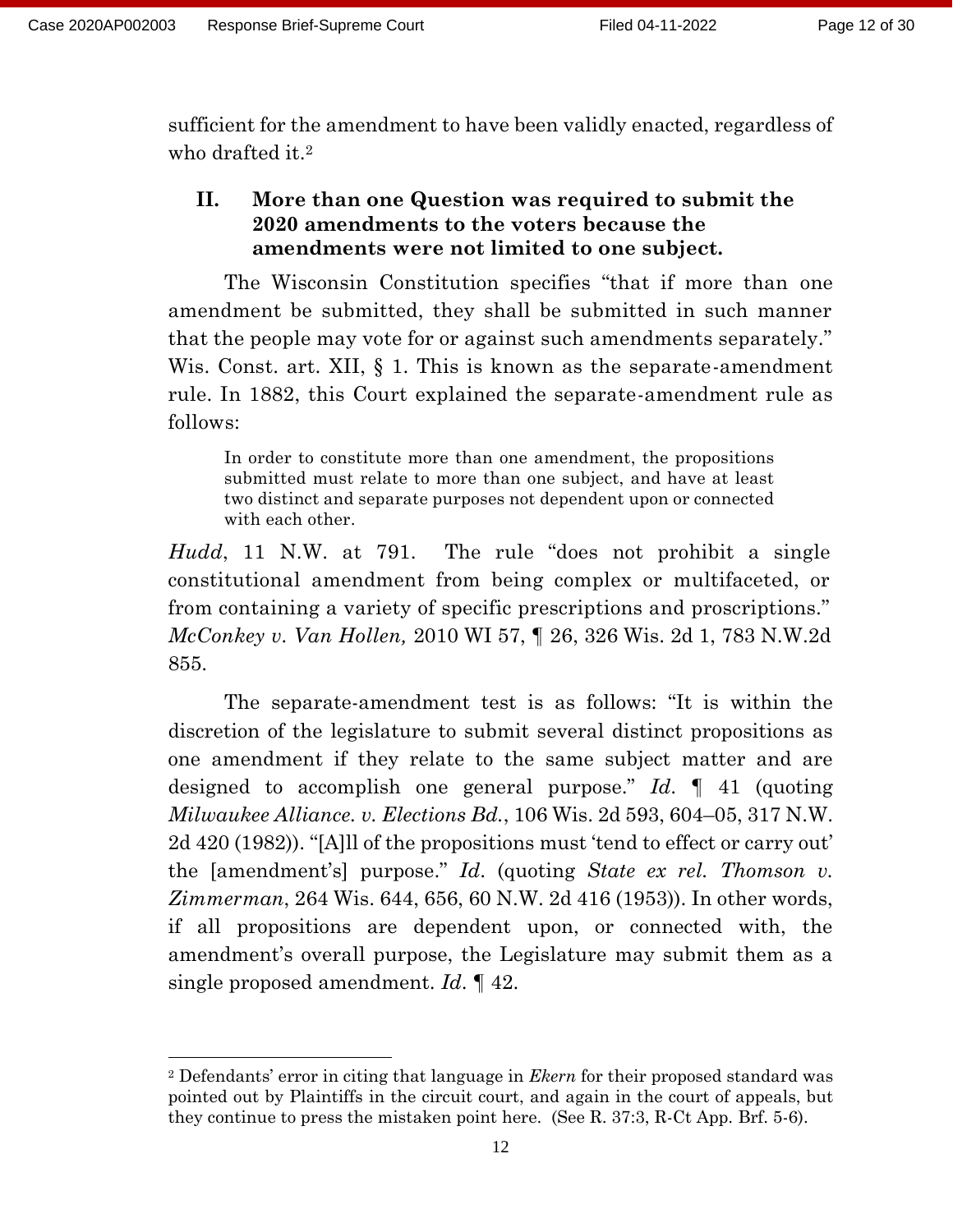sufficient for the amendment to have been validly enacted, regardless of who drafted it.<sup>2</sup>

### **II. More than one Question was required to submit the 2020 amendments to the voters because the amendments were not limited to one subject.**

The Wisconsin Constitution specifies "that if more than one amendment be submitted, they shall be submitted in such manner that the people may vote for or against such amendments separately." Wis. Const. art. XII, § 1. This is known as the separate-amendment rule. In 1882, this Court explained the separate-amendment rule as follows:

In order to constitute more than one amendment, the propositions submitted must relate to more than one subject, and have at least two distinct and separate purposes not dependent upon or connected with each other.

*Hudd*, 11 N.W. at 791. The rule "does not prohibit a single constitutional amendment from being complex or multifaceted, or from containing a variety of specific prescriptions and proscriptions." *McConkey v. Van Hollen,* 2010 WI 57, ¶ 26, 326 Wis. 2d 1, 783 N.W.2d 855.

The separate-amendment test is as follows: "It is within the discretion of the legislature to submit several distinct propositions as one amendment if they relate to the same subject matter and are designed to accomplish one general purpose." *Id*. ¶ 41 (quoting *Milwaukee Alliance. v. Elections Bd.*, 106 Wis. 2d 593, 604–05, 317 N.W. 2d 420 (1982)). "[A]ll of the propositions must 'tend to effect or carry out' the [amendment's] purpose." *Id*. (quoting *State ex rel. Thomson v. Zimmerman*, 264 Wis. 644, 656, 60 N.W. 2d 416 (1953)). In other words, if all propositions are dependent upon, or connected with, the amendment's overall purpose, the Legislature may submit them as a single proposed amendment. *Id*. ¶ 42.

<sup>2</sup> Defendants' error in citing that language in *Ekern* for their proposed standard was pointed out by Plaintiffs in the circuit court, and again in the court of appeals, but they continue to press the mistaken point here. (See R. 37:3, R-Ct App. Brf. 5-6).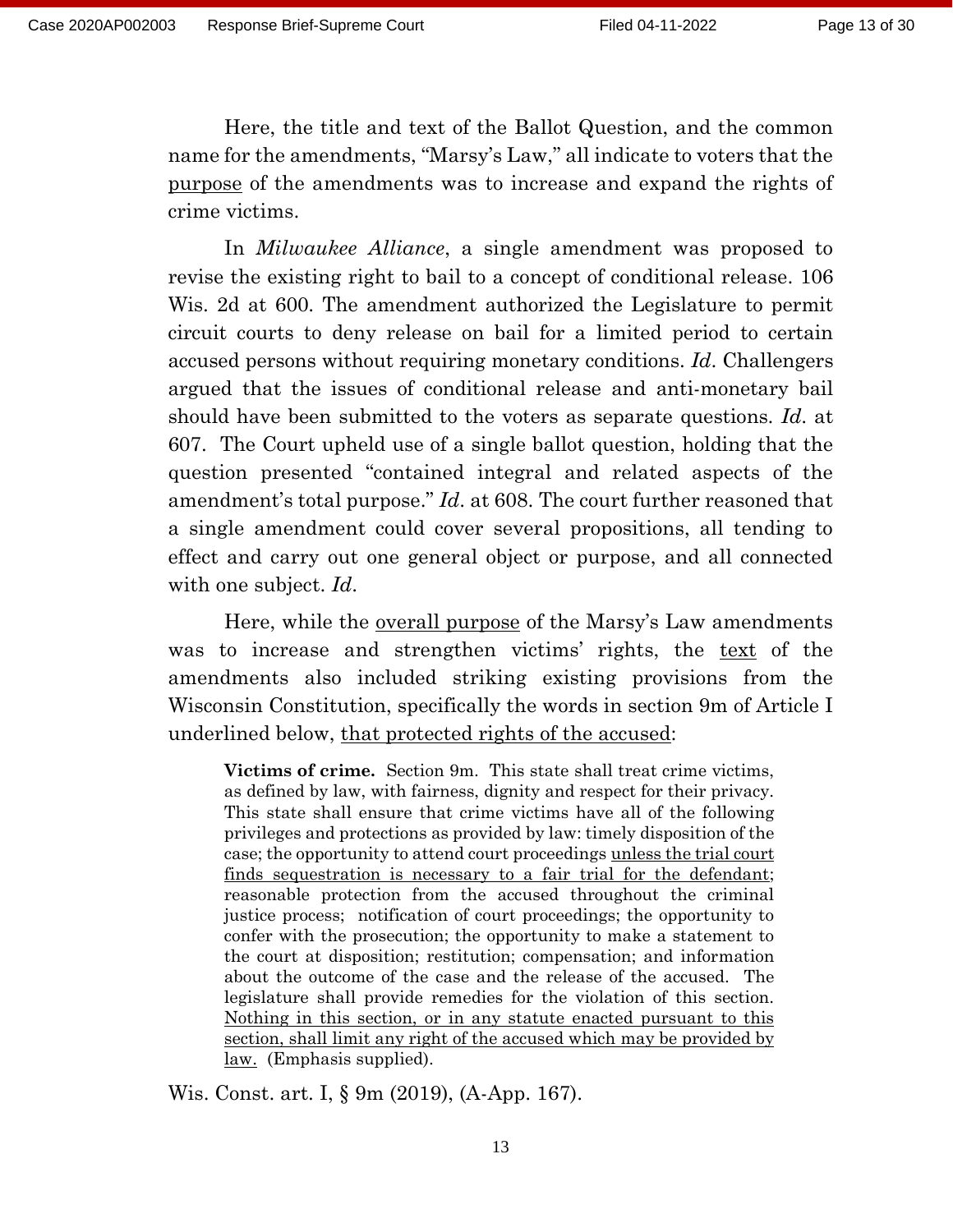Here, the title and text of the Ballot Question, and the common name for the amendments, "Marsy's Law," all indicate to voters that the purpose of the amendments was to increase and expand the rights of crime victims.

In *Milwaukee Alliance*, a single amendment was proposed to revise the existing right to bail to a concept of conditional release. 106 Wis. 2d at 600. The amendment authorized the Legislature to permit circuit courts to deny release on bail for a limited period to certain accused persons without requiring monetary conditions. *Id*. Challengers argued that the issues of conditional release and anti-monetary bail should have been submitted to the voters as separate questions. *Id*. at 607. The Court upheld use of a single ballot question, holding that the question presented "contained integral and related aspects of the amendment's total purpose." *Id*. at 608. The court further reasoned that a single amendment could cover several propositions, all tending to effect and carry out one general object or purpose, and all connected with one subject. *Id*.

Here, while the overall purpose of the Marsy's Law amendments was to increase and strengthen victims' rights, the text of the amendments also included striking existing provisions from the Wisconsin Constitution, specifically the words in section 9m of Article I underlined below, that protected rights of the accused:

**Victims of crime.** Section 9m. This state shall treat crime victims, as defined by law, with fairness, dignity and respect for their privacy. This state shall ensure that crime victims have all of the following privileges and protections as provided by law: timely disposition of the case; the opportunity to attend court proceedings unless the trial court finds sequestration is necessary to a fair trial for the defendant; reasonable protection from the accused throughout the criminal justice process; notification of court proceedings; the opportunity to confer with the prosecution; the opportunity to make a statement to the court at disposition; restitution; compensation; and information about the outcome of the case and the release of the accused. The legislature shall provide remedies for the violation of this section. Nothing in this section, or in any statute enacted pursuant to this section, shall limit any right of the accused which may be provided by law.(Emphasis supplied).

Wis. Const. art. I, § 9m (2019), (A-App. 167).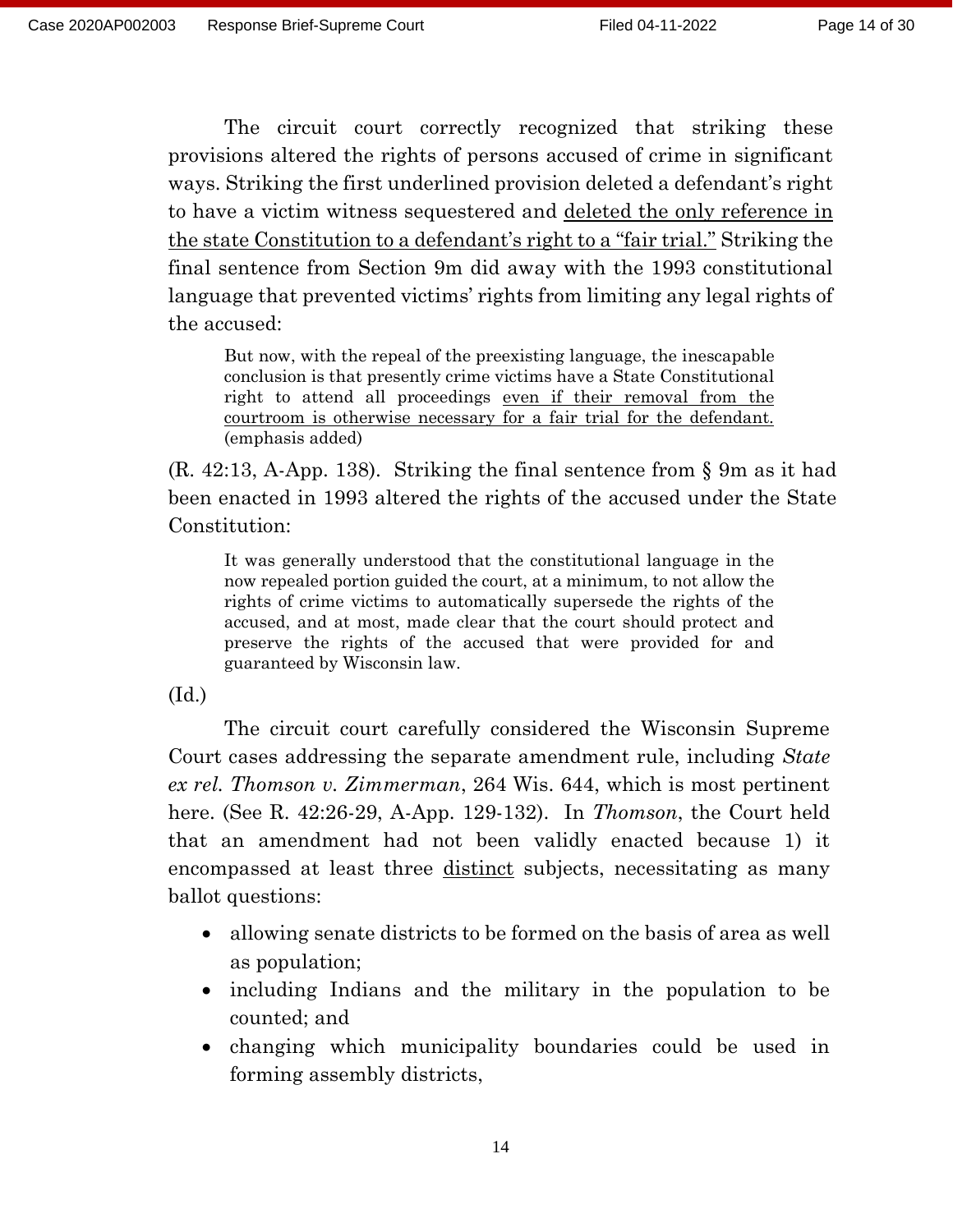The circuit court correctly recognized that striking these provisions altered the rights of persons accused of crime in significant ways. Striking the first underlined provision deleted a defendant's right to have a victim witness sequestered and deleted the only reference in the state Constitution to a defendant's right to a "fair trial." Striking the final sentence from Section 9m did away with the 1993 constitutional language that prevented victims' rights from limiting any legal rights of the accused:

But now, with the repeal of the preexisting language, the inescapable conclusion is that presently crime victims have a State Constitutional right to attend all proceedings even if their removal from the courtroom is otherwise necessary for a fair trial for the defendant. (emphasis added)

(R. 42:13, A-App. 138). Striking the final sentence from § 9m as it had been enacted in 1993 altered the rights of the accused under the State Constitution:

It was generally understood that the constitutional language in the now repealed portion guided the court, at a minimum, to not allow the rights of crime victims to automatically supersede the rights of the accused, and at most, made clear that the court should protect and preserve the rights of the accused that were provided for and guaranteed by Wisconsin law.

(Id.)

The circuit court carefully considered the Wisconsin Supreme Court cases addressing the separate amendment rule, including *State ex rel. Thomson v. Zimmerman*, 264 Wis. 644, which is most pertinent here. (See R. 42:26-29, A-App. 129-132). In *Thomson*, the Court held that an amendment had not been validly enacted because 1) it encompassed at least three <u>distinct</u> subjects, necessitating as many ballot questions:

- allowing senate districts to be formed on the basis of area as well as population;
- including Indians and the military in the population to be counted; and
- changing which municipality boundaries could be used in forming assembly districts,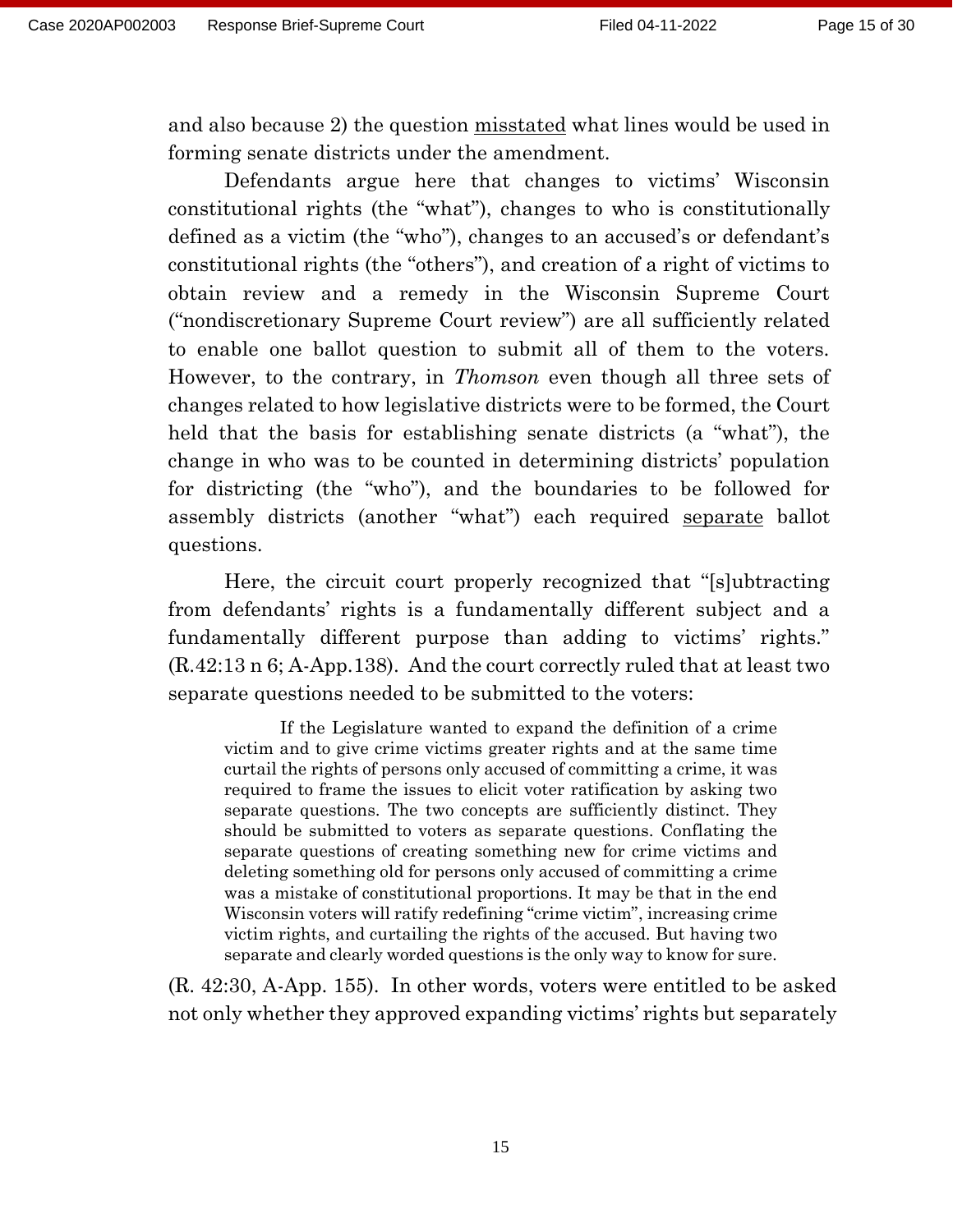and also because 2) the question misstated what lines would be used in forming senate districts under the amendment.

Defendants argue here that changes to victims' Wisconsin constitutional rights (the "what"), changes to who is constitutionally defined as a victim (the "who"), changes to an accused's or defendant's constitutional rights (the "others"), and creation of a right of victims to obtain review and a remedy in the Wisconsin Supreme Court ("nondiscretionary Supreme Court review") are all sufficiently related to enable one ballot question to submit all of them to the voters. However, to the contrary, in *Thomson* even though all three sets of changes related to how legislative districts were to be formed, the Court held that the basis for establishing senate districts (a "what"), the change in who was to be counted in determining districts' population for districting (the "who"), and the boundaries to be followed for assembly districts (another "what") each required separate ballot questions.

Here, the circuit court properly recognized that "[s]ubtracting from defendants' rights is a fundamentally different subject and a fundamentally different purpose than adding to victims' rights." (R.42:13 n 6; A-App.138). And the court correctly ruled that at least two separate questions needed to be submitted to the voters:

If the Legislature wanted to expand the definition of a crime victim and to give crime victims greater rights and at the same time curtail the rights of persons only accused of committing a crime, it was required to frame the issues to elicit voter ratification by asking two separate questions. The two concepts are sufficiently distinct. They should be submitted to voters as separate questions. Conflating the separate questions of creating something new for crime victims and deleting something old for persons only accused of committing a crime was a mistake of constitutional proportions. It may be that in the end Wisconsin voters will ratify redefining "crime victim", increasing crime victim rights, and curtailing the rights of the accused. But having two separate and clearly worded questions is the only way to know for sure.

(R. 42:30, A-App. 155). In other words, voters were entitled to be asked not only whether they approved expanding victims' rights but separately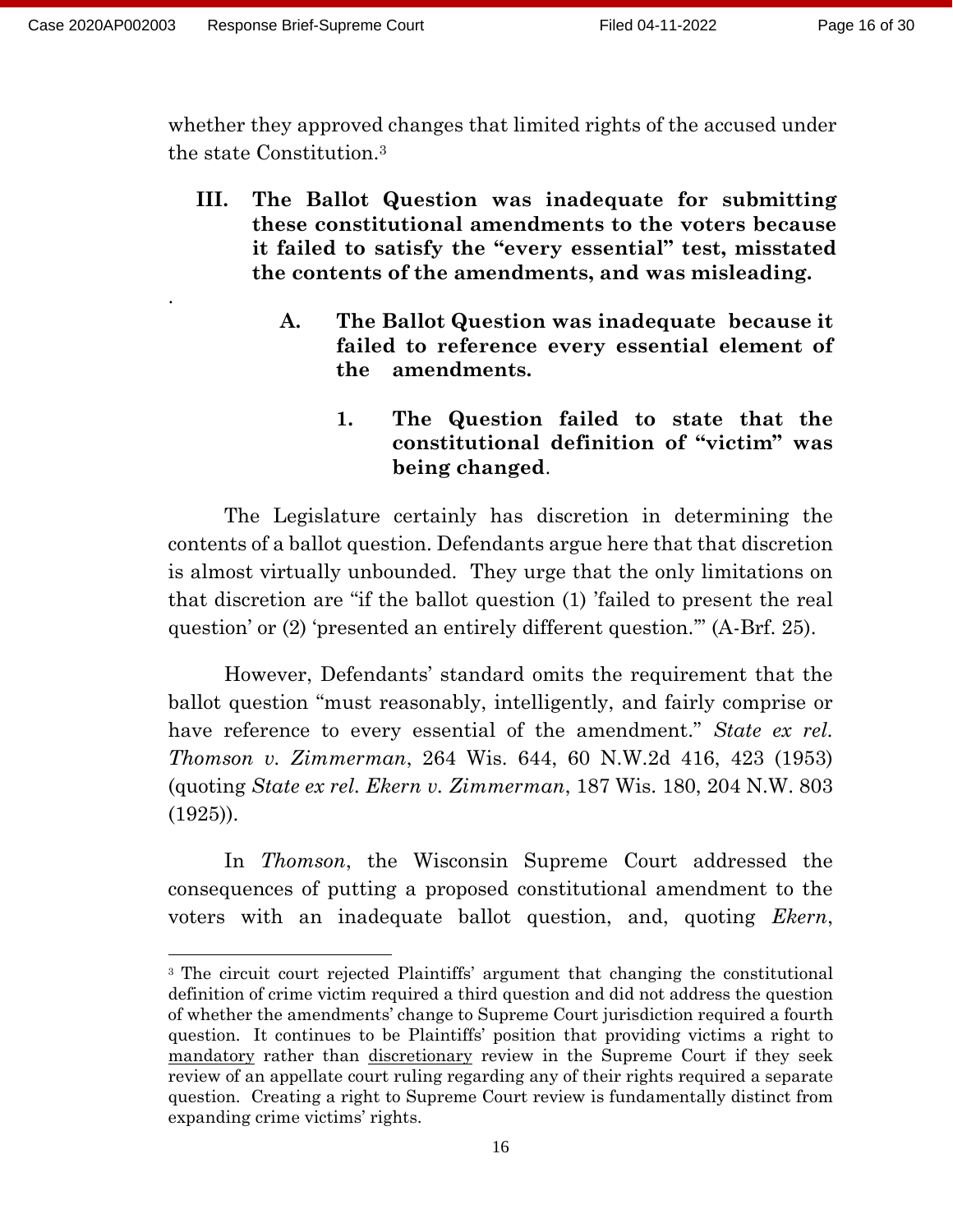.

whether they approved changes that limited rights of the accused under the state Constitution.<sup>3</sup>

- **III. The Ballot Question was inadequate for submitting these constitutional amendments to the voters because it failed to satisfy the "every essential" test, misstated the contents of the amendments, and was misleading.**
	- **A. The Ballot Question was inadequate because it failed to reference every essential element of the amendments.**
		- **1. The Question failed to state that the constitutional definition of "victim" was being changed**.

The Legislature certainly has discretion in determining the contents of a ballot question. Defendants argue here that that discretion is almost virtually unbounded. They urge that the only limitations on that discretion are "if the ballot question (1) 'failed to present the real question' or (2) 'presented an entirely different question.'" (A-Brf. 25).

However, Defendants' standard omits the requirement that the ballot question "must reasonably, intelligently, and fairly comprise or have reference to every essential of the amendment." *State ex rel. Thomson v. Zimmerman*, 264 Wis. 644, 60 N.W.2d 416, 423 (1953) (quoting *State ex rel. Ekern v. Zimmerman*, 187 Wis. 180, 204 N.W. 803  $(1925)$ .

In *Thomson*, the Wisconsin Supreme Court addressed the consequences of putting a proposed constitutional amendment to the voters with an inadequate ballot question, and, quoting *Ekern*,

<sup>&</sup>lt;sup>3</sup> The circuit court rejected Plaintiffs' argument that changing the constitutional definition of crime victim required a third question and did not address the question of whether the amendments' change to Supreme Court jurisdiction required a fourth question. It continues to be Plaintiffs' position that providing victims a right to mandatory rather than discretionary review in the Supreme Court if they seek review of an appellate court ruling regarding any of their rights required a separate question. Creating a right to Supreme Court review is fundamentally distinct from expanding crime victims' rights.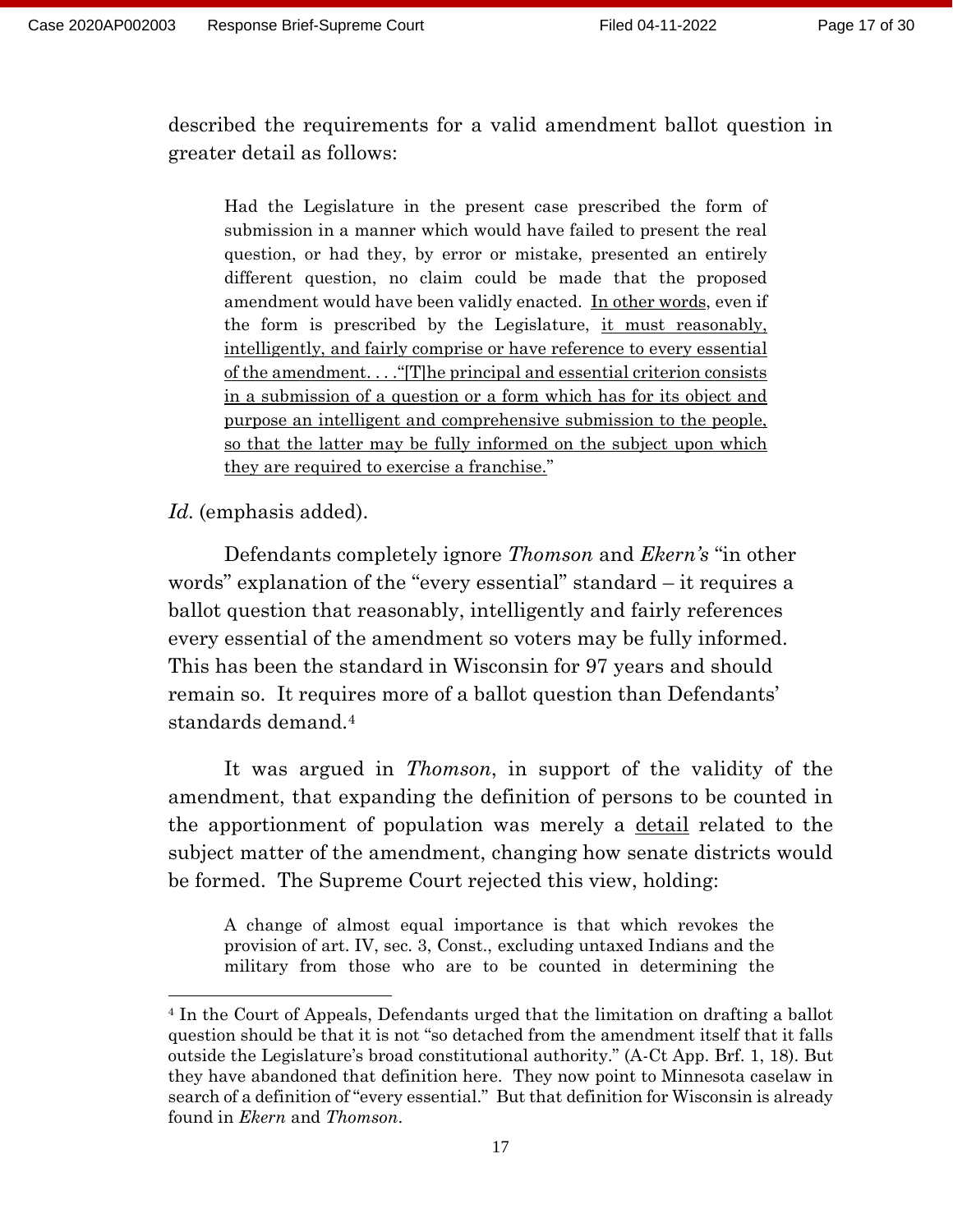described the requirements for a valid amendment ballot question in greater detail as follows:

Had the Legislature in the present case prescribed the form of submission in a manner which would have failed to present the real question, or had they, by error or mistake, presented an entirely different question, no claim could be made that the proposed amendment would have been validly enacted. In other words, even if the form is prescribed by the Legislature, it must reasonably, intelligently, and fairly comprise or have reference to every essential of the amendment. . . ."[T]he principal and essential criterion consists in a submission of a question or a form which has for its object and purpose an intelligent and comprehensive submission to the people, so that the latter may be fully informed on the subject upon which they are required to exercise a franchise."

*Id.* (emphasis added).

Defendants completely ignore *Thomson* and *Ekern's* "in other words" explanation of the "every essential" standard – it requires a ballot question that reasonably, intelligently and fairly references every essential of the amendment so voters may be fully informed. This has been the standard in Wisconsin for 97 years and should remain so. It requires more of a ballot question than Defendants' standards demand.<sup>4</sup>

It was argued in *Thomson*, in support of the validity of the amendment, that expanding the definition of persons to be counted in the apportionment of population was merely a detail related to the subject matter of the amendment, changing how senate districts would be formed. The Supreme Court rejected this view, holding:

A change of almost equal importance is that which revokes the provision of art. IV, sec. 3, Const., excluding untaxed Indians and the military from those who are to be counted in determining the

<sup>4</sup> In the Court of Appeals, Defendants urged that the limitation on drafting a ballot question should be that it is not "so detached from the amendment itself that it falls outside the Legislature's broad constitutional authority." (A-Ct App. Brf. 1, 18). But they have abandoned that definition here. They now point to Minnesota caselaw in search of a definition of "every essential." But that definition for Wisconsin is already found in *Ekern* and *Thomson*.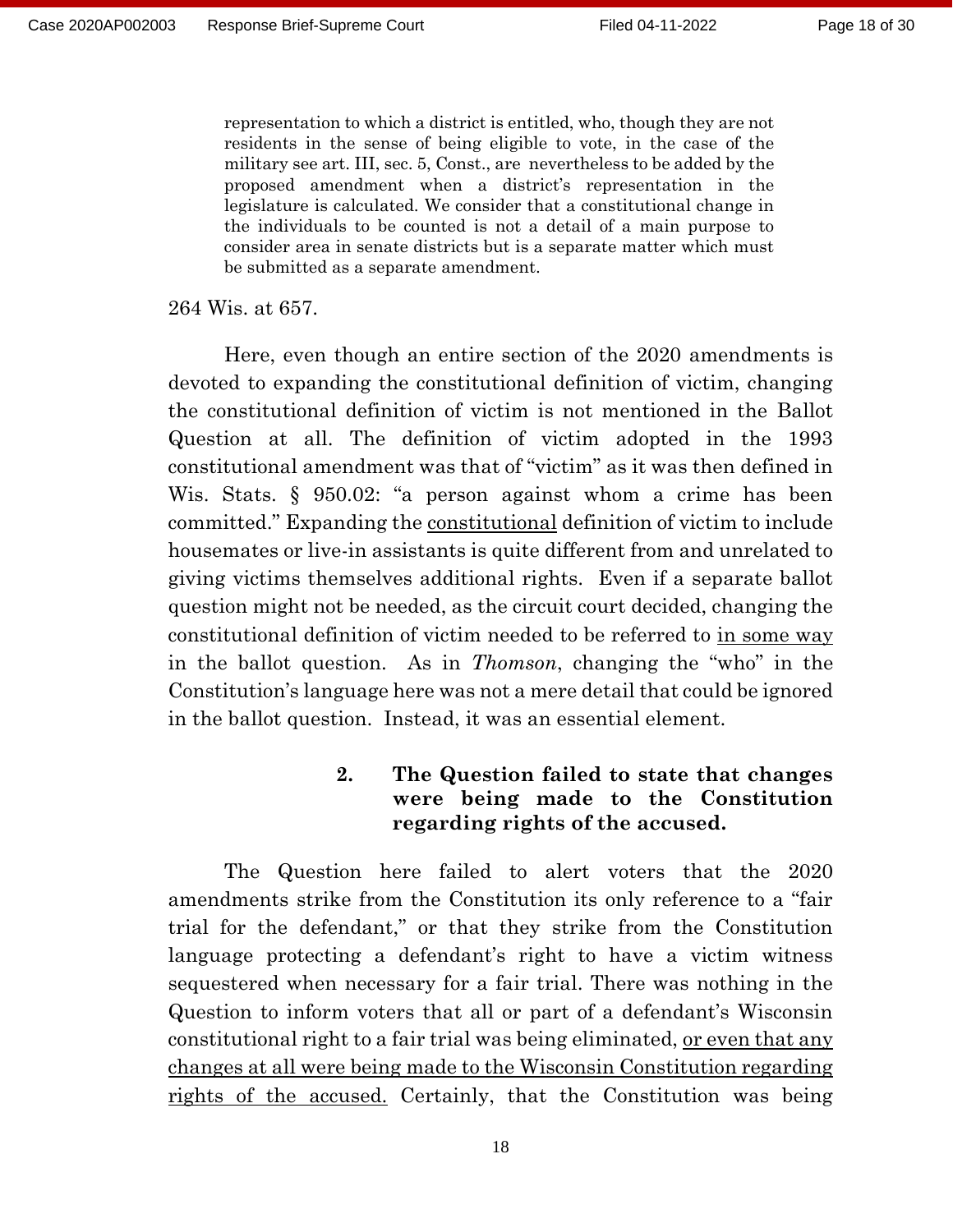representation to which a district is entitled, who, though they are not residents in the sense of being eligible to vote, in the case of the military see art. III, sec. 5, Const., are nevertheless to be added by the proposed amendment when a district's representation in the legislature is calculated. We consider that a constitutional change in the individuals to be counted is not a detail of a main purpose to consider area in senate districts but is a separate matter which must be submitted as a separate amendment.

264 Wis. at 657.

Here, even though an entire section of the 2020 amendments is devoted to expanding the constitutional definition of victim, changing the constitutional definition of victim is not mentioned in the Ballot Question at all. The definition of victim adopted in the 1993 constitutional amendment was that of "victim" as it was then defined in Wis. Stats. § 950.02: "a person against whom a crime has been committed." Expanding the constitutional definition of victim to include housemates or live-in assistants is quite different from and unrelated to giving victims themselves additional rights. Even if a separate ballot question might not be needed, as the circuit court decided, changing the constitutional definition of victim needed to be referred to in some way in the ballot question. As in *Thomson*, changing the "who" in the Constitution's language here was not a mere detail that could be ignored in the ballot question. Instead, it was an essential element.

### **2. The Question failed to state that changes were being made to the Constitution regarding rights of the accused.**

The Question here failed to alert voters that the 2020 amendments strike from the Constitution its only reference to a "fair trial for the defendant," or that they strike from the Constitution language protecting a defendant's right to have a victim witness sequestered when necessary for a fair trial. There was nothing in the Question to inform voters that all or part of a defendant's Wisconsin constitutional right to a fair trial was being eliminated, or even that any changes at all were being made to the Wisconsin Constitution regarding rights of the accused. Certainly, that the Constitution was being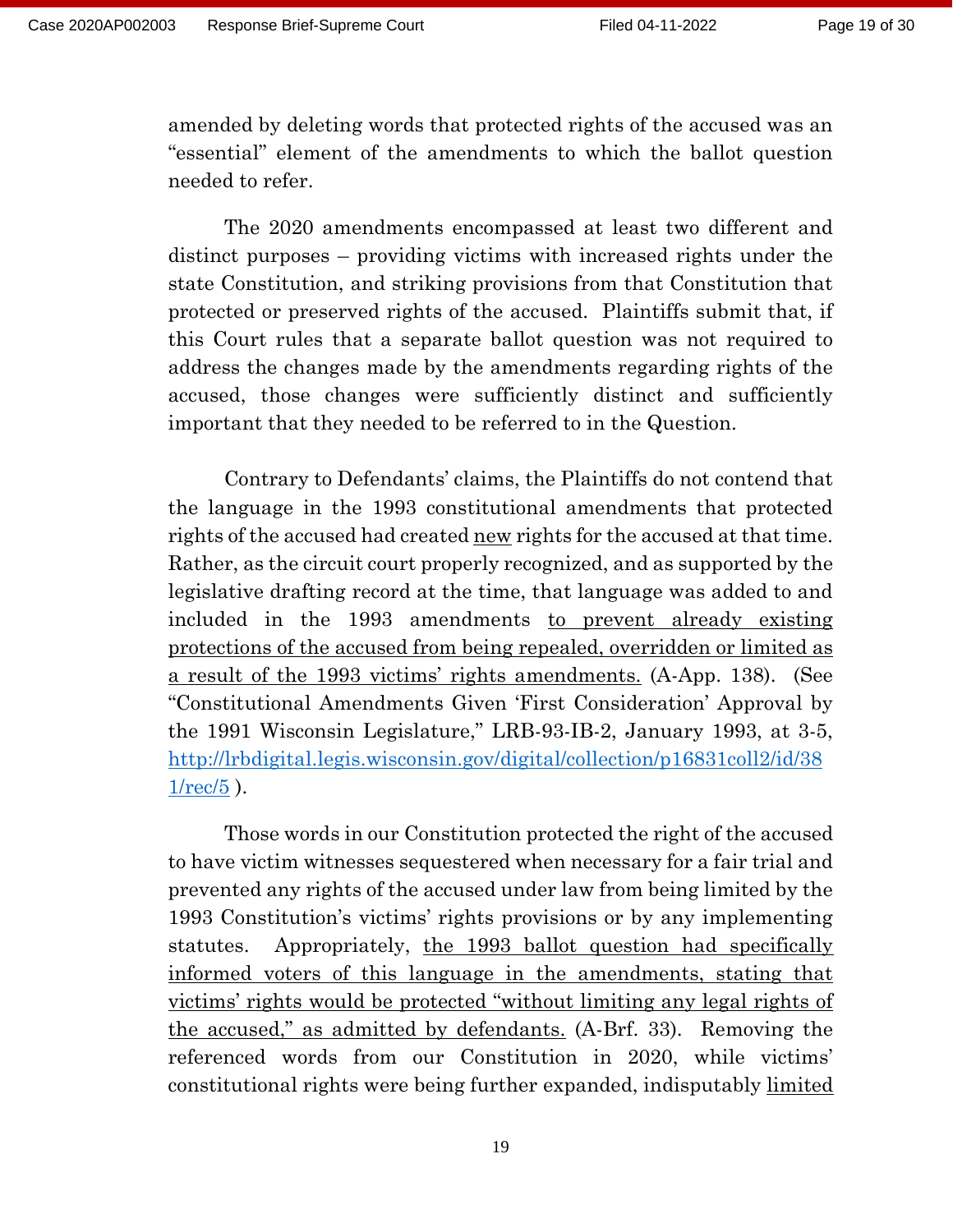amended by deleting words that protected rights of the accused was an "essential" element of the amendments to which the ballot question needed to refer.

The 2020 amendments encompassed at least two different and distinct purposes – providing victims with increased rights under the state Constitution, and striking provisions from that Constitution that protected or preserved rights of the accused. Plaintiffs submit that, if this Court rules that a separate ballot question was not required to address the changes made by the amendments regarding rights of the accused, those changes were sufficiently distinct and sufficiently important that they needed to be referred to in the Question.

Contrary to Defendants' claims, the Plaintiffs do not contend that the language in the 1993 constitutional amendments that protected rights of the accused had created <u>new</u> rights for the accused at that time. Rather, as the circuit court properly recognized, and as supported by the legislative drafting record at the time, that language was added to and included in the 1993 amendments to prevent already existing protections of the accused from being repealed, overridden or limited as a result of the 1993 victims' rights amendments. (A-App. 138). (See "Constitutional Amendments Given 'First Consideration' Approval by the 1991 Wisconsin Legislature," LRB-93-IB-2, January 1993, at 3-5, [http://lrbdigital.legis.wisconsin.gov/digital/collection/p16831coll2/id/38](http://lrbdigital.legis.wisconsin.gov/digital/collection/p16831coll2/id/381/rec/5) [1/rec/5](http://lrbdigital.legis.wisconsin.gov/digital/collection/p16831coll2/id/381/rec/5) ).

Those words in our Constitution protected the right of the accused to have victim witnesses sequestered when necessary for a fair trial and prevented any rights of the accused under law from being limited by the 1993 Constitution's victims' rights provisions or by any implementing statutes. Appropriately, the 1993 ballot question had specifically informed voters of this language in the amendments, stating that victims' rights would be protected "without limiting any legal rights of the accused," as admitted by defendants. (A-Brf. 33). Removing the referenced words from our Constitution in 2020, while victims' constitutional rights were being further expanded, indisputably limited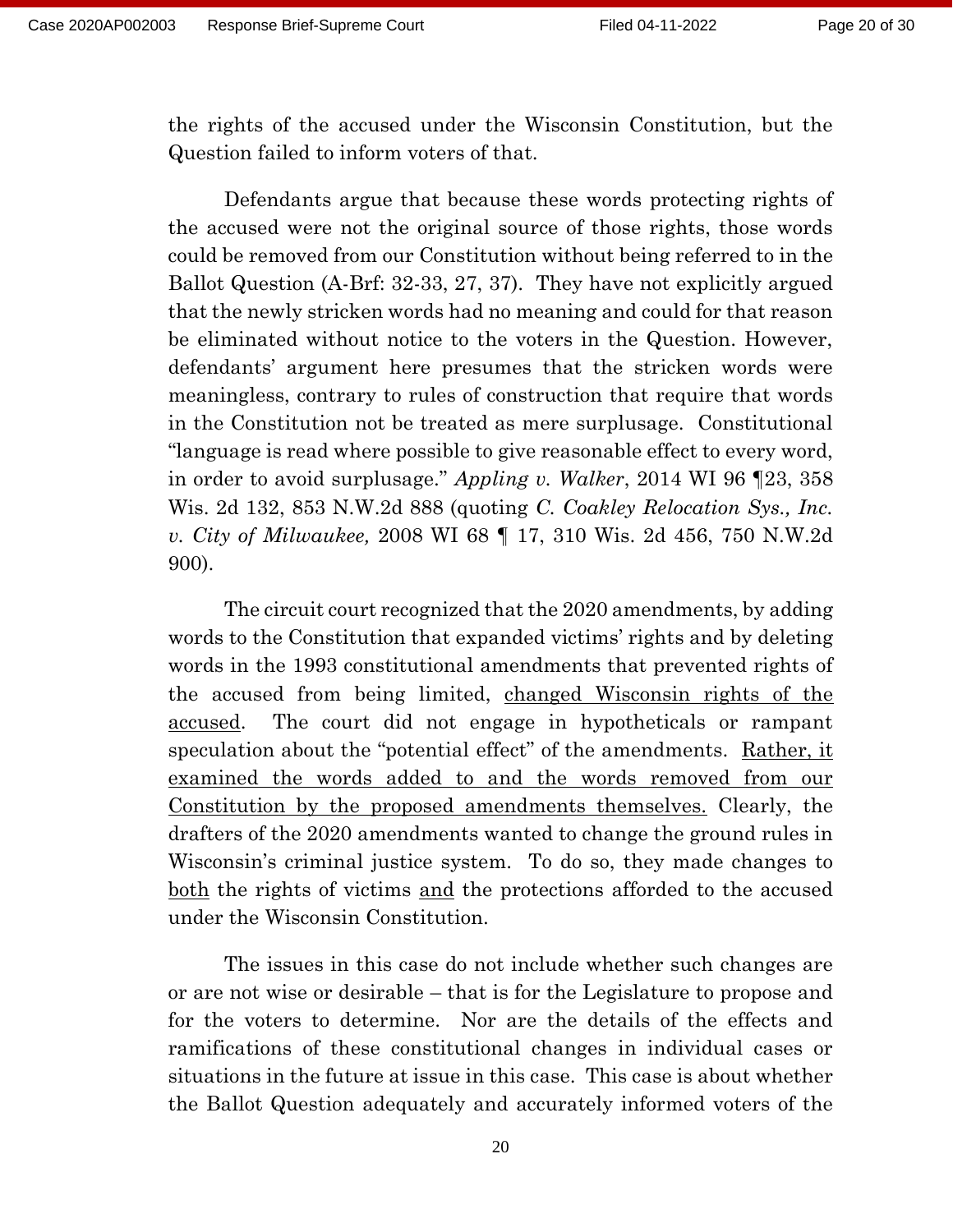the rights of the accused under the Wisconsin Constitution, but the Question failed to inform voters of that.

Defendants argue that because these words protecting rights of the accused were not the original source of those rights, those words could be removed from our Constitution without being referred to in the Ballot Question (A-Brf: 32-33, 27, 37). They have not explicitly argued that the newly stricken words had no meaning and could for that reason be eliminated without notice to the voters in the Question. However, defendants' argument here presumes that the stricken words were meaningless, contrary to rules of construction that require that words in the Constitution not be treated as mere surplusage. Constitutional "language is read where possible to give reasonable effect to every word, in order to avoid surplusage." *Appling v. Walker*, 2014 WI 96 ¶23, 358 Wis. 2d 132, 853 N.W.2d 888 (quoting *C. Coakley Relocation Sys., Inc. v. City of Milwaukee,* 2008 WI 68 ¶ 17, 310 Wis. 2d 456, 750 N.W.2d 900).

The circuit court recognized that the 2020 amendments, by adding words to the Constitution that expanded victims' rights and by deleting words in the 1993 constitutional amendments that prevented rights of the accused from being limited, changed Wisconsin rights of the accused. The court did not engage in hypotheticals or rampant speculation about the "potential effect" of the amendments. Rather, it examined the words added to and the words removed from our Constitution by the proposed amendments themselves. Clearly, the drafters of the 2020 amendments wanted to change the ground rules in Wisconsin's criminal justice system. To do so, they made changes to both the rights of victims and the protections afforded to the accused under the Wisconsin Constitution.

The issues in this case do not include whether such changes are or are not wise or desirable – that is for the Legislature to propose and for the voters to determine. Nor are the details of the effects and ramifications of these constitutional changes in individual cases or situations in the future at issue in this case. This case is about whether the Ballot Question adequately and accurately informed voters of the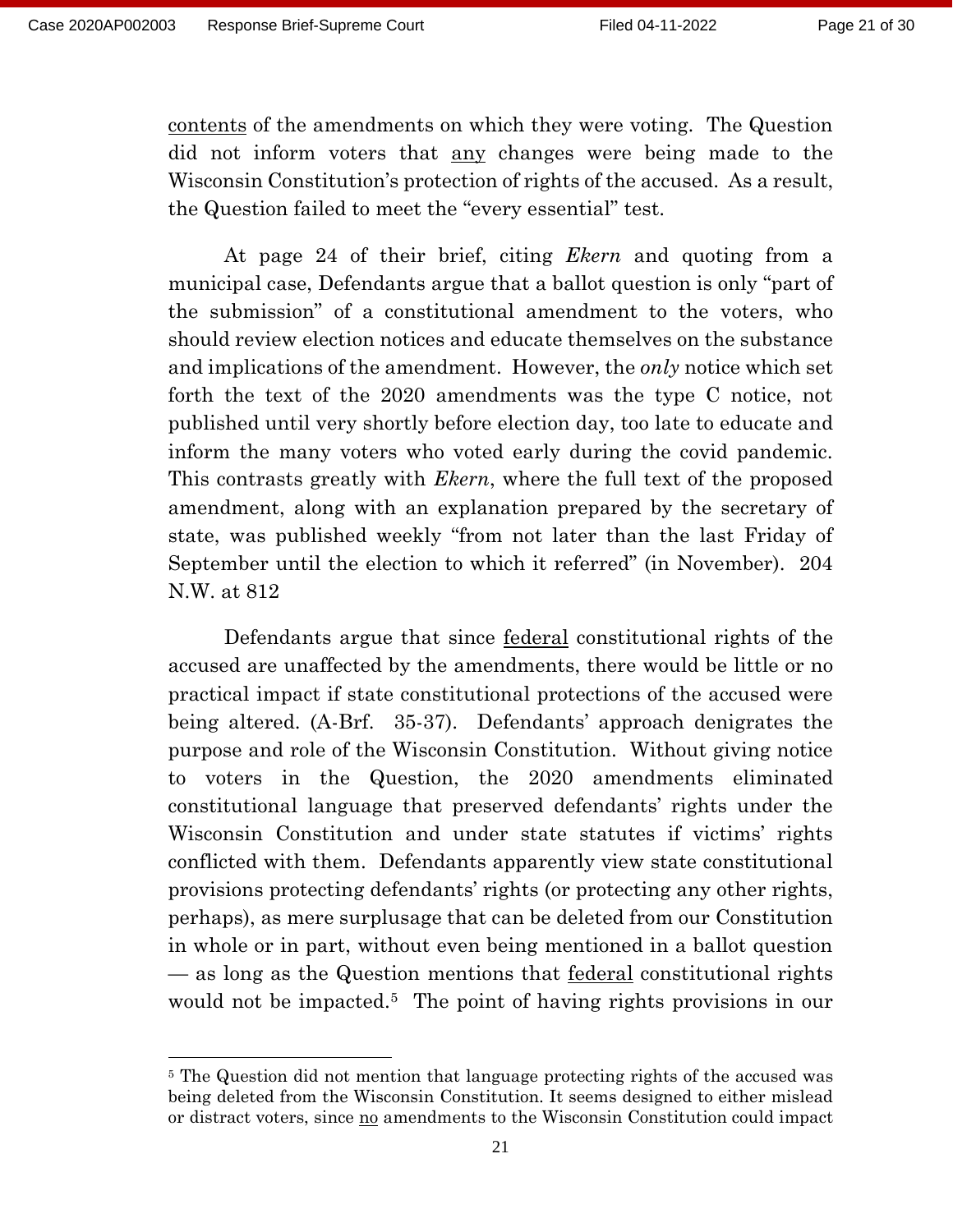contents of the amendments on which they were voting. The Question did not inform voters that any changes were being made to the Wisconsin Constitution's protection of rights of the accused. As a result, the Question failed to meet the "every essential" test.

At page 24 of their brief, citing *Ekern* and quoting from a municipal case, Defendants argue that a ballot question is only "part of the submission" of a constitutional amendment to the voters, who should review election notices and educate themselves on the substance and implications of the amendment. However, the *only* notice which set forth the text of the 2020 amendments was the type C notice, not published until very shortly before election day, too late to educate and inform the many voters who voted early during the covid pandemic. This contrasts greatly with *Ekern*, where the full text of the proposed amendment, along with an explanation prepared by the secretary of state, was published weekly "from not later than the last Friday of September until the election to which it referred" (in November). 204 N.W. at 812

Defendants argue that since federal constitutional rights of the accused are unaffected by the amendments, there would be little or no practical impact if state constitutional protections of the accused were being altered. (A-Brf. 35-37). Defendants' approach denigrates the purpose and role of the Wisconsin Constitution. Without giving notice to voters in the Question, the 2020 amendments eliminated constitutional language that preserved defendants' rights under the Wisconsin Constitution and under state statutes if victims' rights conflicted with them. Defendants apparently view state constitutional provisions protecting defendants' rights (or protecting any other rights, perhaps), as mere surplusage that can be deleted from our Constitution in whole or in part, without even being mentioned in a ballot question — as long as the Question mentions that federal constitutional rights would not be impacted.<sup>5</sup> The point of having rights provisions in our

<sup>5</sup> The Question did not mention that language protecting rights of the accused was being deleted from the Wisconsin Constitution. It seems designed to either mislead or distract voters, since <u>no</u> amendments to the Wisconsin Constitution could impact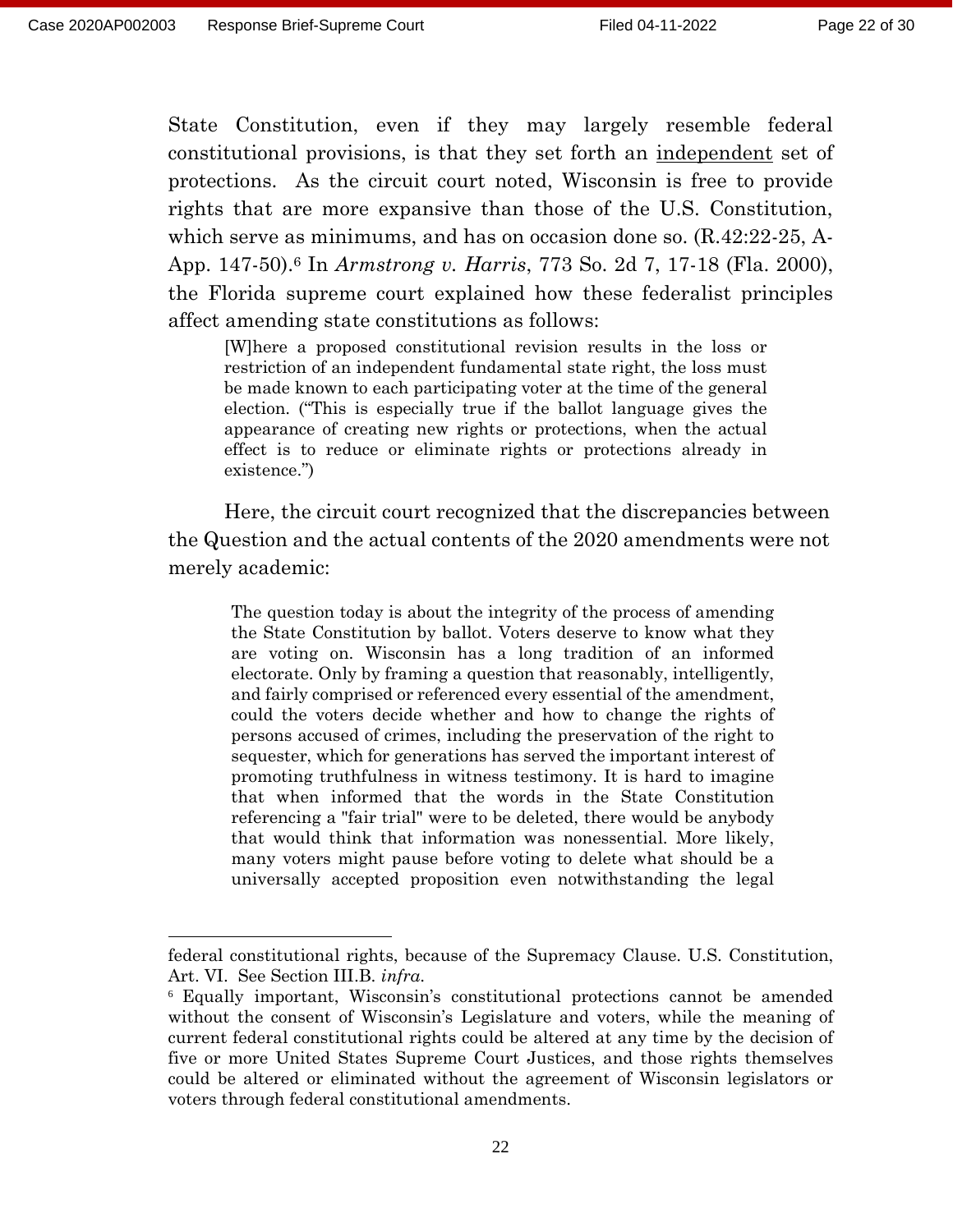State Constitution, even if they may largely resemble federal constitutional provisions, is that they set forth an independent set of protections. As the circuit court noted, Wisconsin is free to provide rights that are more expansive than those of the U.S. Constitution, which serve as minimums, and has on occasion done so. (R.42:22-25, A-App. 147-50).<sup>6</sup> In *Armstrong v. Harris*, 773 So. 2d 7, 17-18 (Fla. 2000), the Florida supreme court explained how these federalist principles affect amending state constitutions as follows:

[W]here a proposed constitutional revision results in the loss or restriction of an independent fundamental state right, the loss must be made known to each participating voter at the time of the general election. ("This is especially true if the ballot language gives the appearance of creating new rights or protections, when the actual effect is to reduce or eliminate rights or protections already in existence.")

Here, the circuit court recognized that the discrepancies between the Question and the actual contents of the 2020 amendments were not merely academic:

The question today is about the integrity of the process of amending the State Constitution by ballot. Voters deserve to know what they are voting on. Wisconsin has a long tradition of an informed electorate. Only by framing a question that reasonably, intelligently, and fairly comprised or referenced every essential of the amendment, could the voters decide whether and how to change the rights of persons accused of crimes, including the preservation of the right to sequester, which for generations has served the important interest of promoting truthfulness in witness testimony. It is hard to imagine that when informed that the words in the State Constitution referencing a "fair trial" were to be deleted, there would be anybody that would think that information was nonessential. More likely, many voters might pause before voting to delete what should be a universally accepted proposition even notwithstanding the legal

federal constitutional rights, because of the Supremacy Clause. U.S. Constitution, Art. VI. See Section III.B. *infra*.

<sup>6</sup> Equally important, Wisconsin's constitutional protections cannot be amended without the consent of Wisconsin's Legislature and voters, while the meaning of current federal constitutional rights could be altered at any time by the decision of five or more United States Supreme Court Justices, and those rights themselves could be altered or eliminated without the agreement of Wisconsin legislators or voters through federal constitutional amendments.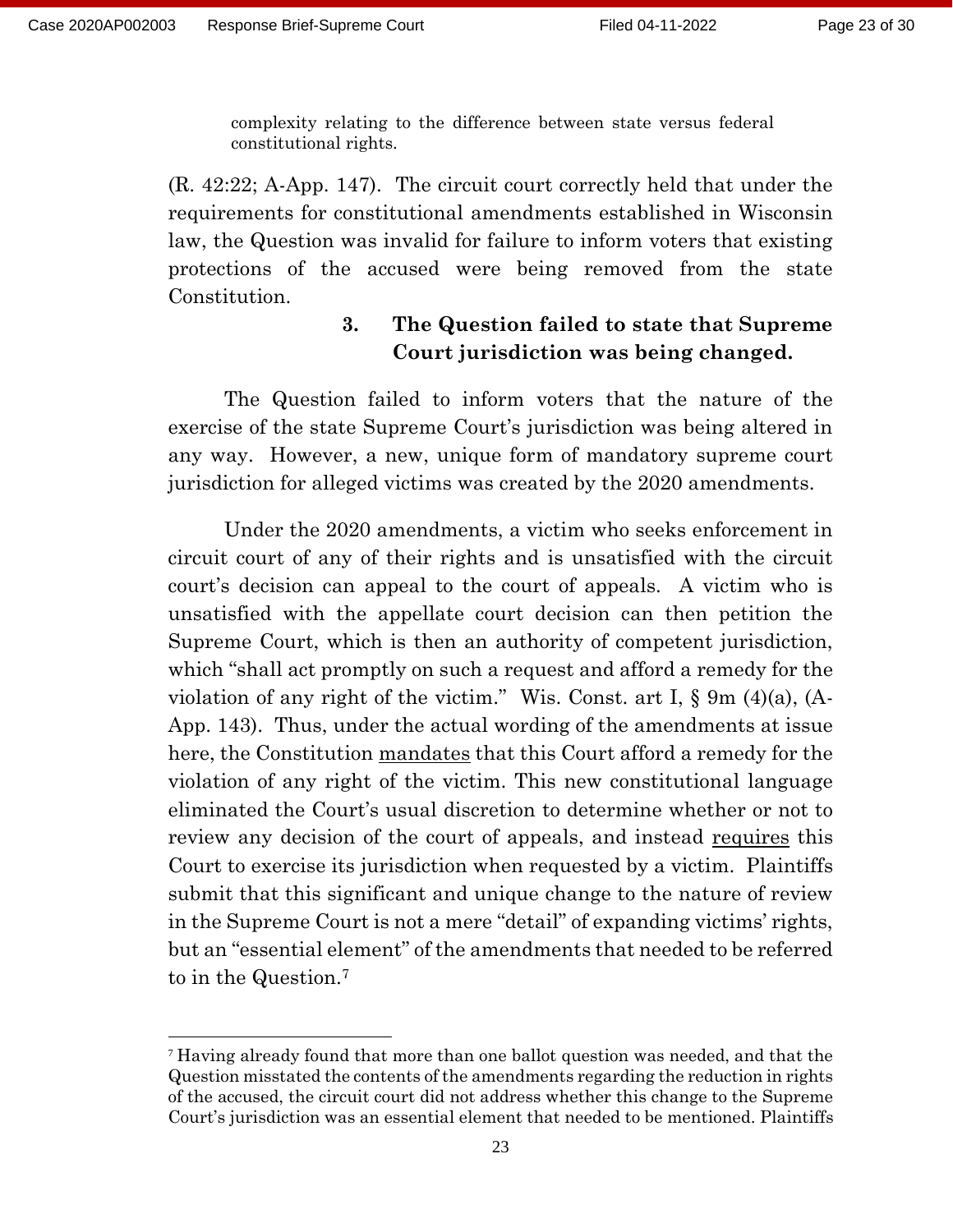complexity relating to the difference between state versus federal constitutional rights.

(R. 42:22; A-App. 147). The circuit court correctly held that under the requirements for constitutional amendments established in Wisconsin law, the Question was invalid for failure to inform voters that existing protections of the accused were being removed from the state Constitution.

### **3. The Question failed to state that Supreme Court jurisdiction was being changed.**

The Question failed to inform voters that the nature of the exercise of the state Supreme Court's jurisdiction was being altered in any way. However, a new, unique form of mandatory supreme court jurisdiction for alleged victims was created by the 2020 amendments.

Under the 2020 amendments, a victim who seeks enforcement in circuit court of any of their rights and is unsatisfied with the circuit court's decision can appeal to the court of appeals. A victim who is unsatisfied with the appellate court decision can then petition the Supreme Court, which is then an authority of competent jurisdiction, which "shall act promptly on such a request and afford a remedy for the violation of any right of the victim." Wis. Const. art I, § 9m (4)(a), (A-App. 143). Thus, under the actual wording of the amendments at issue here, the Constitution mandates that this Court afford a remedy for the violation of any right of the victim. This new constitutional language eliminated the Court's usual discretion to determine whether or not to review any decision of the court of appeals, and instead requires this Court to exercise its jurisdiction when requested by a victim. Plaintiffs submit that this significant and unique change to the nature of review in the Supreme Court is not a mere "detail" of expanding victims' rights, but an "essential element" of the amendments that needed to be referred to in the Question.<sup>7</sup>

 $7$  Having already found that more than one ballot question was needed, and that the Question misstated the contents of the amendments regarding the reduction in rights of the accused, the circuit court did not address whether this change to the Supreme Court's jurisdiction was an essential element that needed to be mentioned. Plaintiffs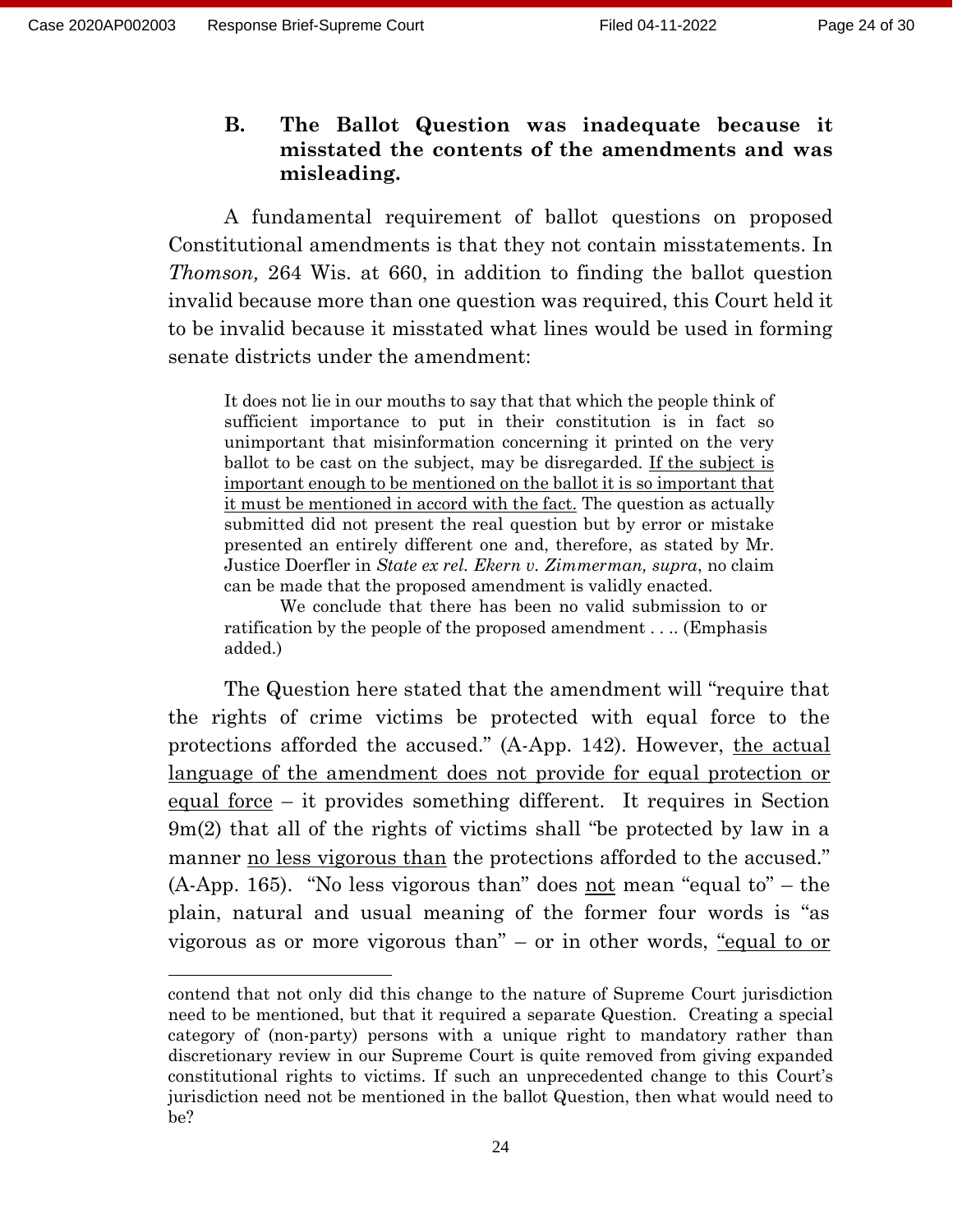### **B. The Ballot Question was inadequate because it misstated the contents of the amendments and was misleading.**

A fundamental requirement of ballot questions on proposed Constitutional amendments is that they not contain misstatements. In *Thomson,* 264 Wis. at 660, in addition to finding the ballot question invalid because more than one question was required, this Court held it to be invalid because it misstated what lines would be used in forming senate districts under the amendment:

It does not lie in our mouths to say that that which the people think of sufficient importance to put in their constitution is in fact so unimportant that misinformation concerning it printed on the very ballot to be cast on the subject, may be disregarded. If the subject is important enough to be mentioned on the ballot it is so important that it must be mentioned in accord with the fact. The question as actually submitted did not present the real question but by error or mistake presented an entirely different one and, therefore, as stated by Mr. Justice Doerfler in *State ex rel. Ekern v. Zimmerman, supra*, no claim can be made that the proposed amendment is validly enacted.

We conclude that there has been no valid submission to or ratification by the people of the proposed amendment . . .. (Emphasis added.)

The Question here stated that the amendment will "require that the rights of crime victims be protected with equal force to the protections afforded the accused." (A-App. 142). However, the actual language of the amendment does not provide for equal protection or equal force – it provides something different. It requires in Section 9m(2) that all of the rights of victims shall "be protected by law in a manner no less vigorous than the protections afforded to the accused."  $(A-App. 165)$ . "No less vigorous than" does not mean "equal to" – the plain, natural and usual meaning of the former four words is "as vigorous as or more vigorous than" – or in other words, "equal to or

contend that not only did this change to the nature of Supreme Court jurisdiction need to be mentioned, but that it required a separate Question. Creating a special category of (non-party) persons with a unique right to mandatory rather than discretionary review in our Supreme Court is quite removed from giving expanded constitutional rights to victims. If such an unprecedented change to this Court's jurisdiction need not be mentioned in the ballot Question, then what would need to be?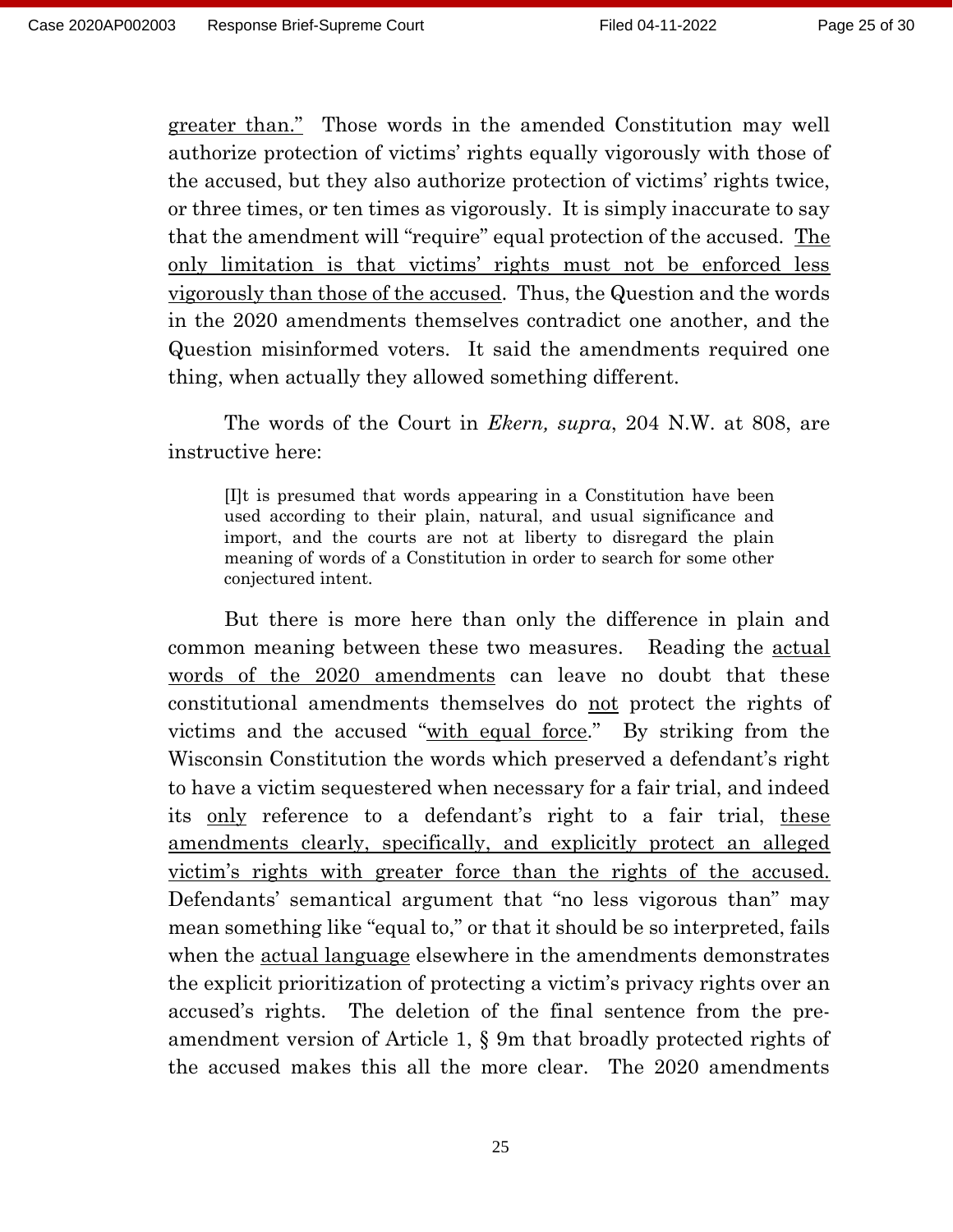greater than." Those words in the amended Constitution may well authorize protection of victims' rights equally vigorously with those of the accused, but they also authorize protection of victims' rights twice, or three times, or ten times as vigorously. It is simply inaccurate to say that the amendment will "require" equal protection of the accused. The only limitation is that victims' rights must not be enforced less vigorously than those of the accused. Thus, the Question and the words in the 2020 amendments themselves contradict one another, and the Question misinformed voters. It said the amendments required one thing, when actually they allowed something different.

The words of the Court in *Ekern, supra*, 204 N.W. at 808, are instructive here:

[I]t is presumed that words appearing in a Constitution have been used according to their plain, natural, and usual significance and import, and the courts are not at liberty to disregard the plain meaning of words of a Constitution in order to search for some other conjectured intent.

But there is more here than only the difference in plain and common meaning between these two measures. Reading the actual words of the 2020 amendments can leave no doubt that these constitutional amendments themselves do not protect the rights of victims and the accused "with equal force." By striking from the Wisconsin Constitution the words which preserved a defendant's right to have a victim sequestered when necessary for a fair trial, and indeed its only reference to a defendant's right to a fair trial, these amendments clearly, specifically, and explicitly protect an alleged victim's rights with greater force than the rights of the accused. Defendants' semantical argument that "no less vigorous than" may mean something like "equal to," or that it should be so interpreted, fails when the actual language elsewhere in the amendments demonstrates the explicit prioritization of protecting a victim's privacy rights over an accused's rights. The deletion of the final sentence from the preamendment version of Article 1, § 9m that broadly protected rights of the accused makes this all the more clear. The 2020 amendments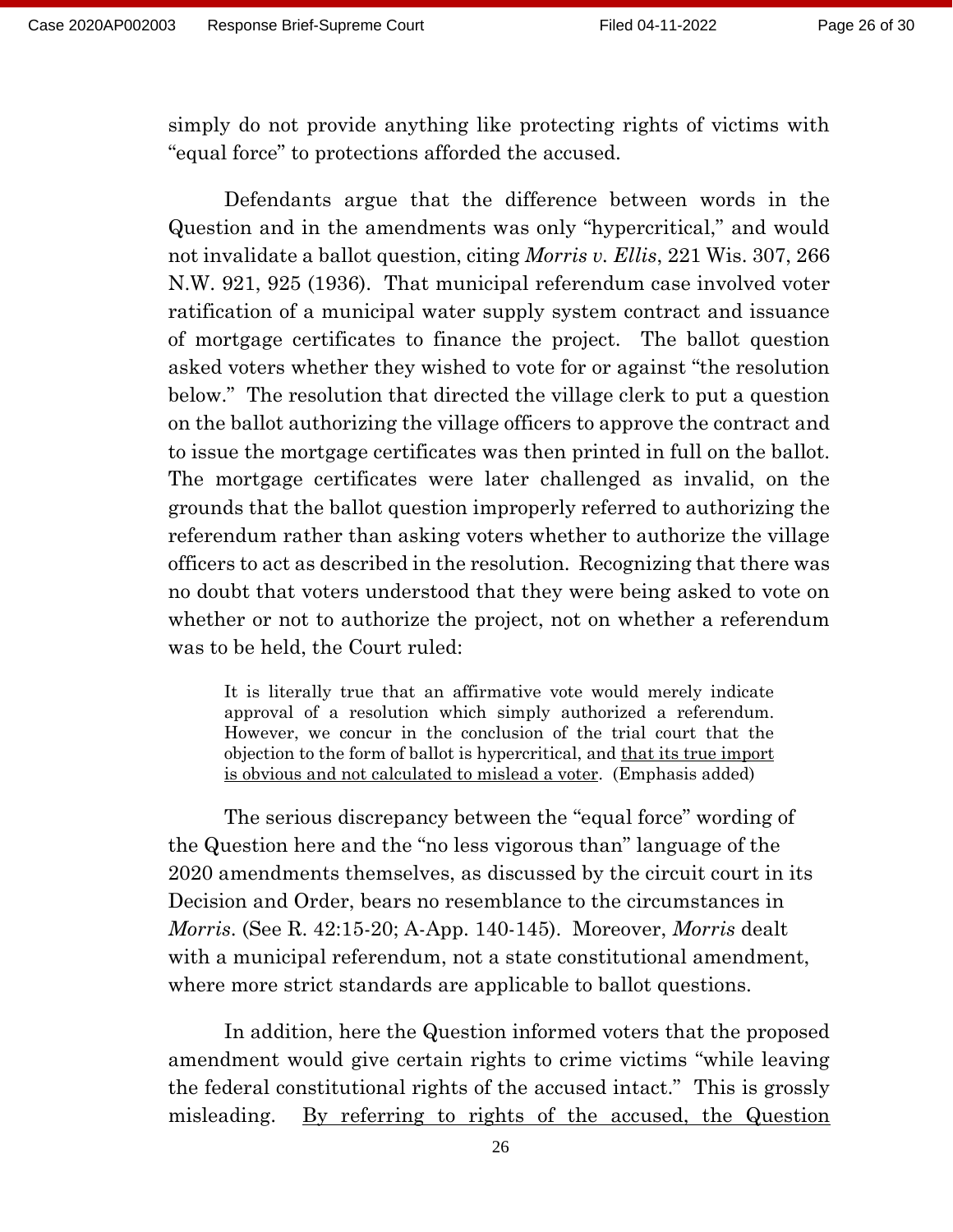simply do not provide anything like protecting rights of victims with "equal force" to protections afforded the accused.

Defendants argue that the difference between words in the Question and in the amendments was only "hypercritical," and would not invalidate a ballot question, citing *Morris v. Ellis*, 221 Wis. 307, 266 N.W. 921, 925 (1936). That municipal referendum case involved voter ratification of a municipal water supply system contract and issuance of mortgage certificates to finance the project. The ballot question asked voters whether they wished to vote for or against "the resolution below." The resolution that directed the village clerk to put a question on the ballot authorizing the village officers to approve the contract and to issue the mortgage certificates was then printed in full on the ballot. The mortgage certificates were later challenged as invalid, on the grounds that the ballot question improperly referred to authorizing the referendum rather than asking voters whether to authorize the village officers to act as described in the resolution. Recognizing that there was no doubt that voters understood that they were being asked to vote on whether or not to authorize the project, not on whether a referendum was to be held, the Court ruled:

It is literally true that an affirmative vote would merely indicate approval of a resolution which simply authorized a referendum. However, we concur in the conclusion of the trial court that the objection to the form of ballot is hypercritical, and that its true import is obvious and not calculated to mislead a voter. (Emphasis added)

The serious discrepancy between the "equal force" wording of the Question here and the "no less vigorous than" language of the 2020 amendments themselves, as discussed by the circuit court in its Decision and Order, bears no resemblance to the circumstances in *Morris*. (See R. 42:15-20; A-App. 140-145). Moreover, *Morris* dealt with a municipal referendum, not a state constitutional amendment, where more strict standards are applicable to ballot questions.

In addition, here the Question informed voters that the proposed amendment would give certain rights to crime victims "while leaving the federal constitutional rights of the accused intact." This is grossly misleading. By referring to rights of the accused, the Question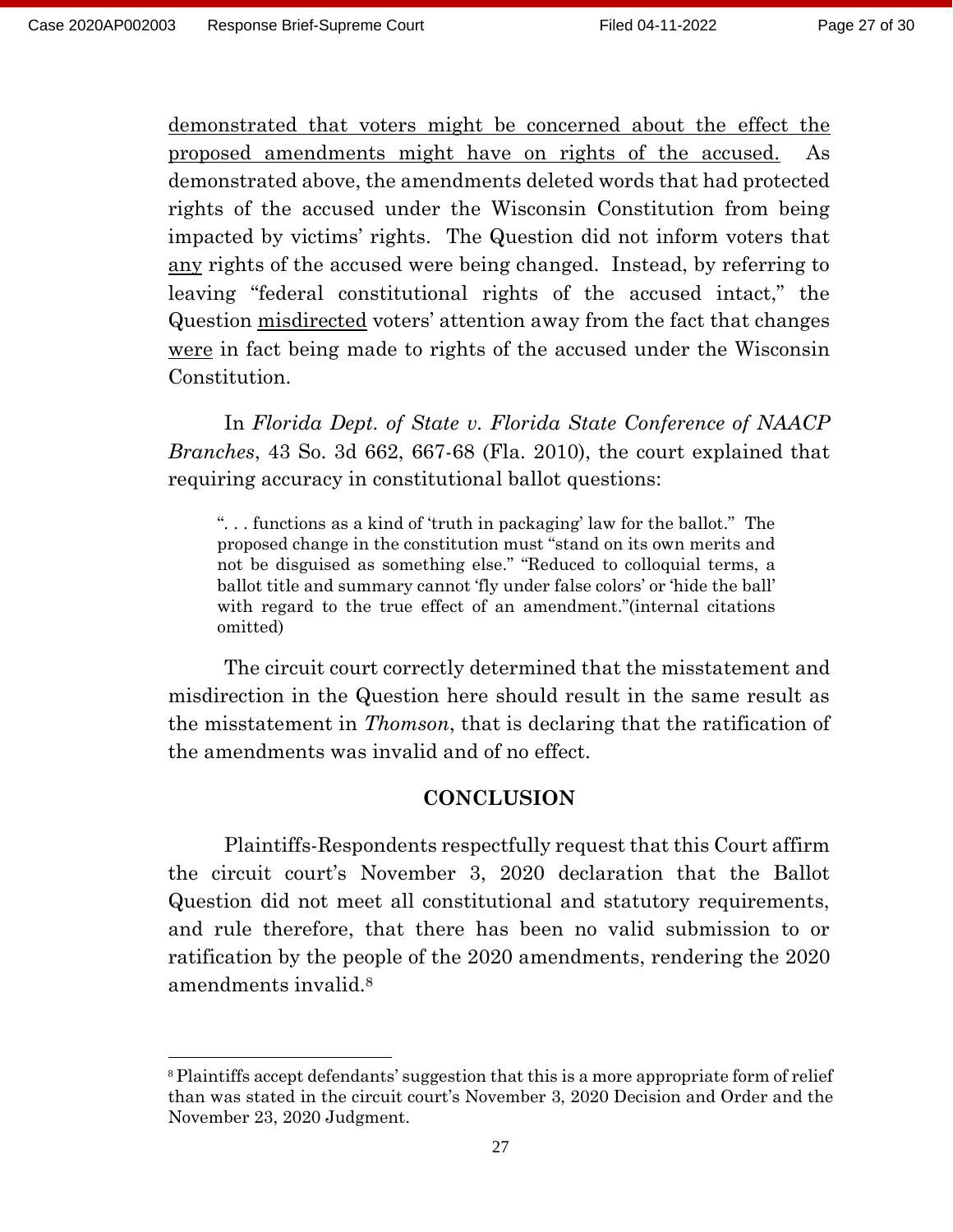demonstrated that voters might be concerned about the effect the proposed amendments might have on rights of the accused. As demonstrated above, the amendments deleted words that had protected rights of the accused under the Wisconsin Constitution from being impacted by victims' rights. The Question did not inform voters that any rights of the accused were being changed. Instead, by referring to leaving "federal constitutional rights of the accused intact," the Question misdirected voters' attention away from the fact that changes were in fact being made to rights of the accused under the Wisconsin Constitution.

In *Florida Dept. of State v. Florida State Conference of NAACP Branches*, 43 So. 3d 662, 667-68 (Fla. 2010), the court explained that requiring accuracy in constitutional ballot questions:

". . . functions as a kind of 'truth in packaging' law for the ballot." The proposed change in the constitution must "stand on its own merits and not be disguised as something else." "Reduced to colloquial terms, a ballot title and summary cannot 'fly under false colors' or 'hide the ball' with regard to the true effect of an amendment."(internal citations omitted)

The circuit court correctly determined that the misstatement and misdirection in the Question here should result in the same result as the misstatement in *Thomson*, that is declaring that the ratification of the amendments was invalid and of no effect.

#### **CONCLUSION**

Plaintiffs-Respondents respectfully request that this Court affirm the circuit court's November 3, 2020 declaration that the Ballot Question did not meet all constitutional and statutory requirements, and rule therefore, that there has been no valid submission to or ratification by the people of the 2020 amendments, rendering the 2020 amendments invalid.<sup>8</sup>

<sup>8</sup> Plaintiffs accept defendants' suggestion that this is a more appropriate form of relief than was stated in the circuit court's November 3, 2020 Decision and Order and the November 23, 2020 Judgment.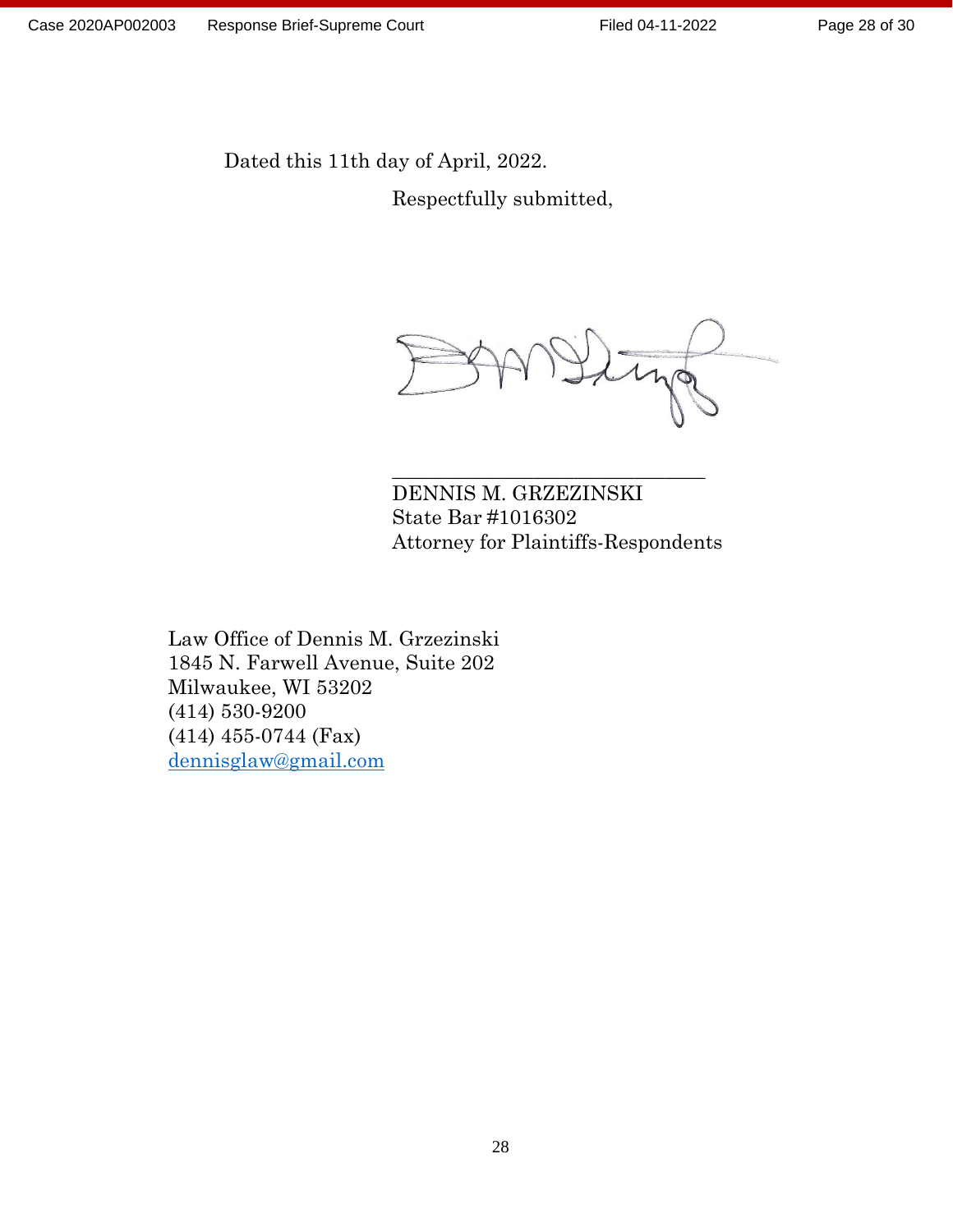Page 28 of 30

Dated this 11th day of April, 2022.

Respectfully submitted,

DENNIS M. GRZEZINSKI State Bar #1016302 Attorney for Plaintiffs-Respondents

\_\_\_\_\_\_\_\_\_\_\_\_\_\_\_\_\_\_\_\_\_\_\_\_\_\_\_\_\_\_\_

Law Office of Dennis M. Grzezinski 1845 N. Farwell Avenue, Suite 202 Milwaukee, WI 53202 (414) 530-9200 (414) 455-0744 (Fax) [dennisglaw@gmail.com](mailto:dennisglaw@gmail.com)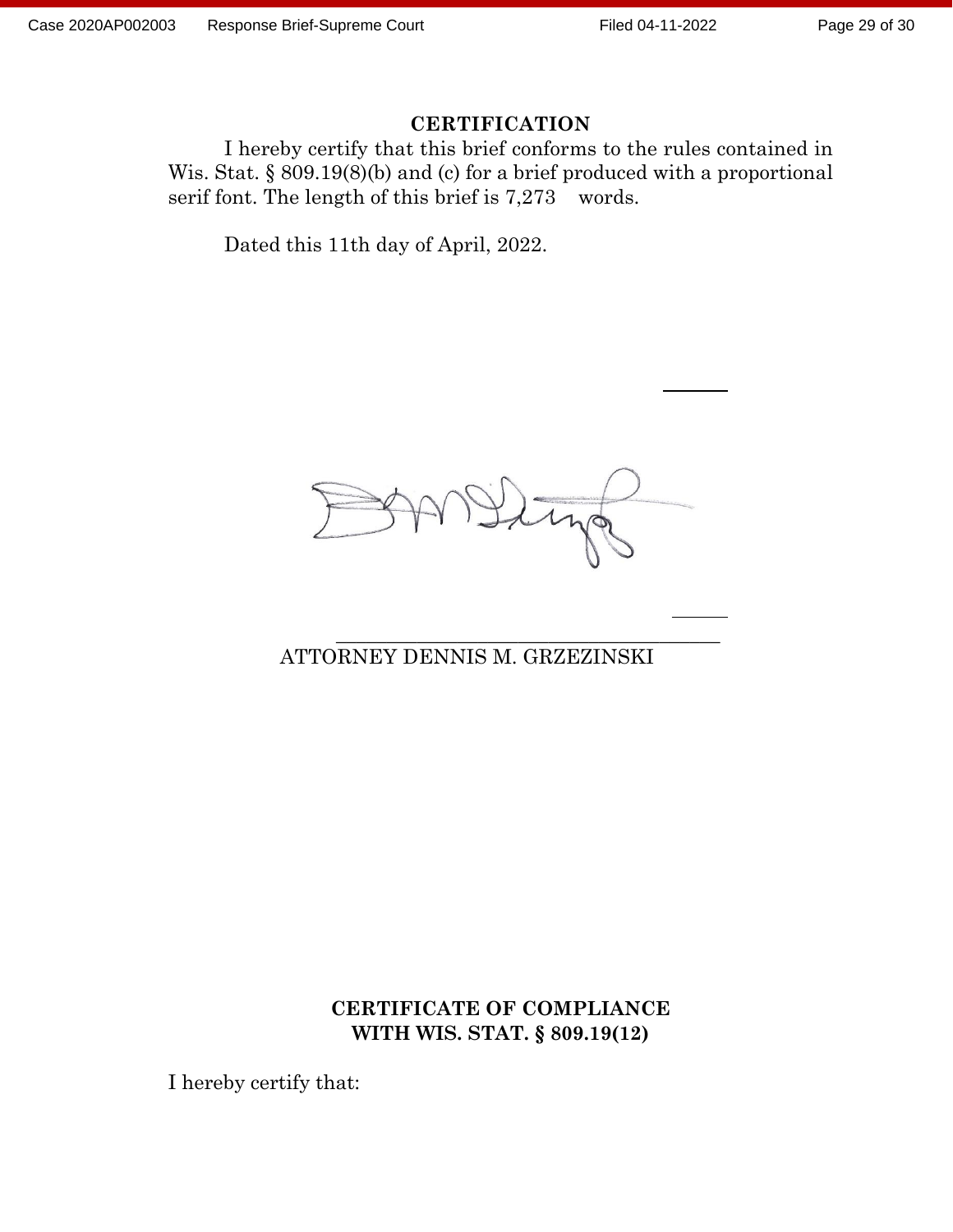#### Page 29 of 30

#### **CERTIFICATION**

I hereby certify that this brief conforms to the rules contained in Wis. Stat. § 809.19(8)(b) and (c) for a brief produced with a proportional serif font. The length of this brief is 7,273 words.

Dated this 11th day of April, 2022.



\_\_\_\_\_\_\_\_\_\_\_\_\_\_\_\_\_\_\_\_\_\_\_\_\_\_\_\_\_\_\_\_\_\_\_\_\_\_

### ATTORNEY DENNIS M. GRZEZINSKI

#### **CERTIFICATE OF COMPLIANCE WITH WIS. STAT. § 809.19(12)**

I hereby certify that: